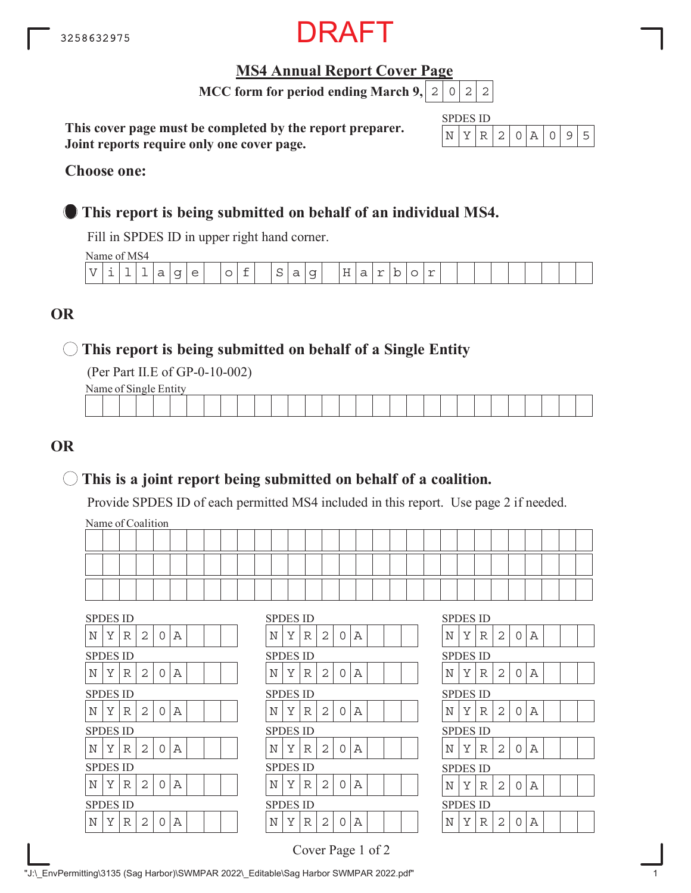

## **MS4 Annual Report Cover Page**

**MCC form for period ending March 9,**  $|2|0|2|2$ 

**This cover page must be completed by the report preparer. Joint reports require only one cover page.**

| $\mathbb{C}P\mathbb{P}$ | S 11 D |        |  |  |  |
|-------------------------|--------|--------|--|--|--|
|                         |        | - 12 - |  |  |  |

#### **Choose one:**

## **This report is being submitted on behalf of an individual MS4.**

Fill in SPDES ID in upper right hand corner.

Name of MS4

|   |  | - - - - - - - - - - - - - - - |                  |                                        |        |        |                          |             |        |                            |                 |                                     |        |    |        |  |  |  |  |  |
|---|--|-------------------------------|------------------|----------------------------------------|--------|--------|--------------------------|-------------|--------|----------------------------|-----------------|-------------------------------------|--------|----|--------|--|--|--|--|--|
| T |  | -                             | ∽<br>d<br>$\sim$ | $\tilde{}$<br>$\overline{\phantom{0}}$ | $\sim$ | ∽<br>∼ | $\overline{\phantom{0}}$ | $\sim$<br>ب | ∽<br>d | $\tilde{\phantom{a}}$<br>ٮ | $-$<br>⊢<br>. . | $\overline{\phantom{0}}$<br>ື<br>__ | $\sim$ | -- | $\sim$ |  |  |  |  |  |
|   |  |                               |                  |                                        |        |        |                          |             |        |                            |                 |                                     |        |    |        |  |  |  |  |  |

## **OR**

## **This report is being submitted on behalf of a Single Entity**

(Per Part II.E of GP-0-10-002)

Name of Single Entity

|  |  |  |  |  |  |  | the contract of the contract of the |  |  |  |  |  | the contract of the contract of the contract of |  |
|--|--|--|--|--|--|--|-------------------------------------|--|--|--|--|--|-------------------------------------------------|--|
|  |  |  |  |  |  |  |                                     |  |  |  |  |  |                                                 |  |

## **OR**

## **This is a joint report being submitted on behalf of a coalition.**

Provide SPDES ID of each permitted MS4 included in this report. Use page 2 if needed.

Name of Coalition

|   | <b>SPDES ID</b> |   |                |          |   |  |  |  |   | <b>SPDES ID</b> |   |                |          |   |  |  | <b>SPDES ID</b> |   |   |                |   |   |
|---|-----------------|---|----------------|----------|---|--|--|--|---|-----------------|---|----------------|----------|---|--|--|-----------------|---|---|----------------|---|---|
| N | Y               | R | 2              | $\Omega$ | Α |  |  |  | N | Y               | R | 2              | $\Omega$ | Α |  |  | N               | Y | R | 2              | 0 | Α |
|   | <b>SPDES ID</b> |   |                |          |   |  |  |  |   | <b>SPDES ID</b> |   |                |          |   |  |  | <b>SPDES ID</b> |   |   |                |   |   |
| N | Y               | R | $\overline{2}$ | $\Omega$ | Α |  |  |  | Ν | Y               | R | 2              | $\Omega$ | Α |  |  | N               | Υ | R | $\overline{2}$ | 0 | Α |
|   | <b>SPDES ID</b> |   |                |          |   |  |  |  |   | <b>SPDES ID</b> |   |                |          |   |  |  | <b>SPDES ID</b> |   |   |                |   |   |
| N | Y               | R | 2              | $\Omega$ | Α |  |  |  | Ν | Y               | R | 2              | 0        | Α |  |  | N               | Y | R | 2              | 0 | Α |
|   |                 |   |                |          |   |  |  |  |   |                 |   |                |          |   |  |  |                 |   |   |                |   |   |
|   | <b>SPDES ID</b> |   |                |          |   |  |  |  |   | <b>SPDES ID</b> |   |                |          |   |  |  | <b>SPDES ID</b> |   |   |                |   |   |
| Ν | Y               | R | $\overline{2}$ | $\Omega$ | А |  |  |  | N | Y               | R | $\overline{2}$ | ∩        | Α |  |  | N               | Y | R | 2              | 0 |   |
|   | <b>SPDES ID</b> |   |                |          |   |  |  |  |   | <b>SPDES ID</b> |   |                |          |   |  |  | <b>SPDES ID</b> |   |   |                |   | Α |
| Ν | Y               | R | $\overline{2}$ | $\Omega$ | Α |  |  |  | Ν | Υ               | R | 2              | $\Omega$ | Α |  |  | N               | Y | R | 2              | 0 | Α |
|   | <b>SPDES ID</b> |   |                |          |   |  |  |  |   | <b>SPDES ID</b> |   |                |          |   |  |  | <b>SPDES ID</b> |   |   |                |   |   |
| N | Y               | R | $\overline{2}$ | $\Omega$ | Α |  |  |  | N | Y               | R | 2              |          | Α |  |  | N               | Y | R | 2              | 0 | Α |

| 2<br>0<br>Y<br>А<br>Y<br>N<br>R<br>Ν<br><b>SPDES ID</b><br>SPDES ID<br>2<br>O<br>Y<br>А<br>Y<br>N<br>R<br>Ν<br>SPDES ID<br>SPDES ID | SPDES ID |        |   |   | SPDES ID |  |  |   |   |   |
|-------------------------------------------------------------------------------------------------------------------------------------|----------|--------|---|---|----------|--|--|---|---|---|
|                                                                                                                                     |          |        |   |   |          |  |  |   |   | R |
|                                                                                                                                     |          |        |   |   |          |  |  |   |   |   |
|                                                                                                                                     |          |        |   |   |          |  |  |   |   | R |
|                                                                                                                                     |          |        |   |   |          |  |  |   |   |   |
|                                                                                                                                     | Ν        | Y<br>R | 2 | O | А        |  |  | N | Y | R |
| SPDES ID<br><b>SPDES ID</b>                                                                                                         |          |        |   |   |          |  |  |   |   |   |
| 2<br>Y<br>O<br>Y<br>N<br>А<br>N<br>R                                                                                                |          |        |   |   |          |  |  |   |   | R |
| SPDES ID<br><b>SPDES ID</b>                                                                                                         |          |        |   |   |          |  |  |   |   |   |
| 2<br>O<br>N<br>Y<br>А<br>R<br>Υ<br>N                                                                                                |          |        |   |   |          |  |  |   |   | R |
| <b>SPDES ID</b><br>SPDES ID                                                                                                         |          |        |   |   |          |  |  |   |   |   |
| 2<br>Ν<br>Y<br>Y<br>∩<br>А<br>Ν<br>R                                                                                                |          |        |   |   |          |  |  |   |   | R |

| <b>SPDES ID</b> |   |   |                |                |             |  |  |
|-----------------|---|---|----------------|----------------|-------------|--|--|
| N               | Υ | R | $\vert$ 2      | $\mathsf O$    | $\mathbb A$ |  |  |
| <b>SPDES ID</b> |   |   |                |                |             |  |  |
| N               | Y | R | 2              | $\overline{O}$ | $\mathbb A$ |  |  |
| SPDES ID        |   |   |                |                |             |  |  |
| N               | Υ | R | $\overline{c}$ | 0              | Α           |  |  |
| SPDES ID        |   |   |                |                |             |  |  |
| N               | Y | R | 2              | $\Omega$       | $\mathbb A$ |  |  |
| SPDES ID        |   |   |                |                |             |  |  |
| N               | Y | R | $\overline{2}$ | 0              | Α           |  |  |
| SPDES ID        |   |   |                |                |             |  |  |
| N               | Y | R | $\overline{2}$ | O              | A           |  |  |

Cover Page 1 of 2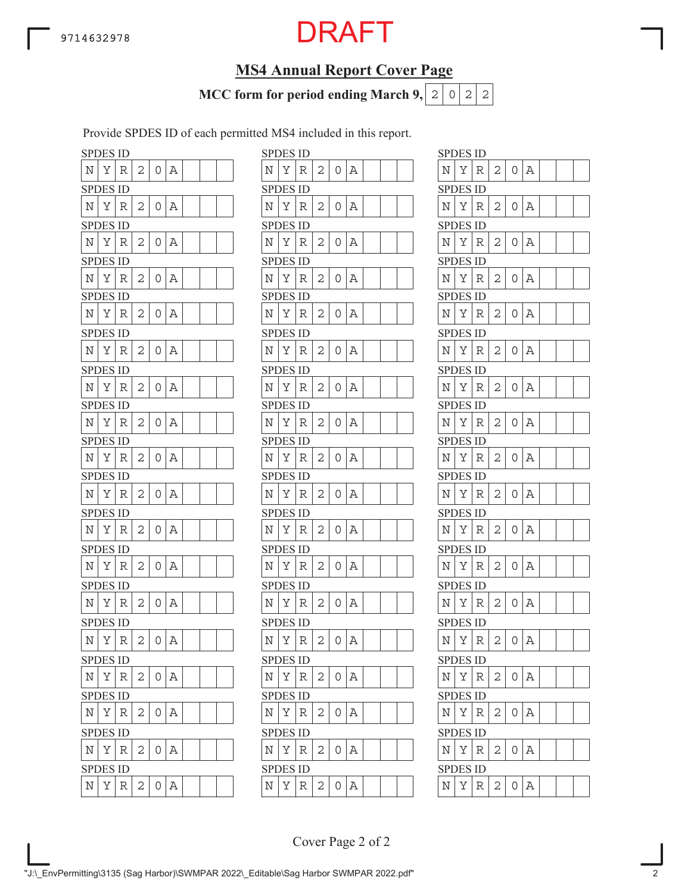## **MS4 Annual Report Cover Page**

**MCC form for period ending March 9,**  $|2|0|2|2$ 

Provide SPDES ID of each permitted MS4 included in this report.

|         | <b>SPDES ID</b> |   |   |   |   |  |  |                    | <b>SPDES ID</b> |   |
|---------|-----------------|---|---|---|---|--|--|--------------------|-----------------|---|
| Ν       | Υ               | R | 2 | 0 | Α |  |  | N                  | Υ               | R |
|         | <b>SPDES ID</b> |   |   |   |   |  |  |                    | <b>SPDES ID</b> |   |
| N       | Υ               | R | 2 | 0 | Α |  |  | N                  | Υ               | R |
|         | SPDES ID        |   |   |   |   |  |  |                    | SPDES ID        |   |
| Ν       | Υ               | R | 2 | 0 | Α |  |  | N                  | Υ               | R |
|         | SPDES ID        |   |   |   |   |  |  |                    | SPDES ID        |   |
| Ν       | Υ               | R | 2 | 0 | Α |  |  | Ν                  | Υ               | R |
|         | <b>SPDES ID</b> |   |   |   |   |  |  |                    | <b>SPDES ID</b> |   |
| N       | Υ               | R | 2 | 0 | Α |  |  | N                  | Υ               | R |
|         | <b>SPDES ID</b> |   |   |   |   |  |  |                    | <b>SPDES ID</b> |   |
| N       | Υ               | R | 2 | 0 | Α |  |  | N                  | Υ               | R |
|         | <b>SPDES ID</b> |   |   |   |   |  |  |                    | <b>SPDES ID</b> |   |
| Ν       | Υ               | R | 2 | 0 | Α |  |  | N                  | Υ               | R |
|         | <b>SPDES ID</b> |   |   |   |   |  |  |                    | SPDES ID        |   |
| N       | Υ               | R | 2 | 0 | Α |  |  | N                  | Υ               | R |
|         | SPDES ID        |   |   |   |   |  |  |                    | SPDES ID        |   |
| N       | Υ               | R | 2 | 0 | Α |  |  | N                  | Υ               | R |
|         | SPDES ID        |   |   |   |   |  |  |                    | SPDES ID        |   |
| Ν       | Υ               | R | 2 | 0 | Α |  |  | Ν                  | Υ               | R |
|         | SPDES ID        |   |   |   |   |  |  |                    | <b>SPDES ID</b> |   |
| N       | Υ               | R | 2 | 0 | Α |  |  | N                  | Υ               | R |
|         | <b>SPDES ID</b> |   |   |   |   |  |  |                    | <b>SPDES ID</b> |   |
| Ν       | Υ               | R | 2 | 0 | Α |  |  | N                  | Υ               | R |
|         | <b>SPDES ID</b> |   |   |   |   |  |  |                    | SPDES ID        |   |
| Ν       | Υ               | R | 2 | 0 | Α |  |  | Ν                  | Υ               | R |
|         | SPDES ID        |   |   |   |   |  |  |                    | SPDES ID        |   |
| N       | Υ               | R | 2 | 0 | Α |  |  | N                  | Υ               | R |
|         | <b>SPDES ID</b> |   |   |   |   |  |  |                    | <b>SPDES ID</b> |   |
| Ν       | Υ               | R | 2 | 0 | Α |  |  | $\overline{\rm N}$ | Υ               | R |
|         | <b>SPDES ID</b> |   |   |   |   |  |  |                    | <b>SPDES ID</b> |   |
| Ν       | Υ               | R | 2 | 0 | Α |  |  | N                  | Υ               | R |
|         | <b>SPDES ID</b> |   |   |   |   |  |  |                    | <b>SPDES ID</b> |   |
| N       | Υ               | R | 2 | 0 | Α |  |  | Ν                  | Υ               | R |
|         | SPDES ID        |   |   |   |   |  |  |                    | <b>SPDES ID</b> |   |
| $\rm N$ | Υ               | R | 2 | 0 | Α |  |  | N                  | Υ               | R |

|            | <b>SPDES ID</b> |             |                |                |       |  |  |             | <b>SPDES ID</b> |   |   |          |       |  |  | <b>SPDES ID</b> |   |   |   |                |          |
|------------|-----------------|-------------|----------------|----------------|-------|--|--|-------------|-----------------|---|---|----------|-------|--|--|-----------------|---|---|---|----------------|----------|
| N          | Υ               | R           | 2              | 0              | Α     |  |  | Ν           | Υ               | R | 2 | 0        | Α     |  |  | N               | Υ | R | 2 | 0              | Α        |
|            | <b>SPDES ID</b> |             |                |                |       |  |  |             | <b>SPDES ID</b> |   |   |          |       |  |  | <b>SPDES ID</b> |   |   |   |                |          |
| Ν          | Υ               | R           | 2              | 0              | Α     |  |  | Ν           | Υ               | R | 2 | 0        | Α     |  |  | Ν               | Υ | R | 2 | 0              | А        |
|            | SPDES ID        |             |                |                |       |  |  |             | <b>SPDES ID</b> |   |   |          |       |  |  | <b>SPDES ID</b> |   |   |   |                |          |
| N          | Υ               | R           | 2              | 0              | Α     |  |  | Ν           | Υ               | R | 2 | 0        | А     |  |  | Ν               | Υ | R | 2 | $\overline{O}$ | Α        |
|            | <b>SPDES ID</b> |             |                |                |       |  |  |             | <b>SPDES ID</b> |   |   |          |       |  |  | <b>SPDES ID</b> |   |   |   |                |          |
| Ν          | Υ               | R           | 2              | 0              | Α     |  |  | Ν           | Υ               | R | 2 | 0        | Α     |  |  | N               | Υ | R | 2 | 0              | Α        |
|            | SPDES ID        |             |                |                |       |  |  |             | <b>SPDES ID</b> |   |   |          |       |  |  | <b>SPDES ID</b> |   |   |   |                |          |
| N          | Υ               | R           | 2              | 0              | А     |  |  | Ν           | Υ               | R | 2 | 0        | А     |  |  | Ν               | Υ | R | 2 | 0              | А        |
|            | SPDES ID        |             |                |                |       |  |  |             | <b>SPDES ID</b> |   |   |          |       |  |  | <b>SPDES ID</b> |   |   |   |                |          |
| N          | Υ               | R           | 2              | 0              | Α     |  |  | Ν           | Y               | R | 2 | $\Omega$ | Α     |  |  | N               | Υ | R | 2 | $\overline{O}$ | Α        |
|            | <b>SPDES ID</b> |             |                |                |       |  |  |             | <b>SPDES ID</b> |   |   |          |       |  |  | <b>SPDES ID</b> |   |   |   |                |          |
| N          | Υ               | R           | 2              | 0              | А     |  |  | N           | Y               | R | 2 | 0        | Α     |  |  | N               | Υ | R | 2 | $\Omega$       | А        |
|            | <b>SPDES ID</b> |             |                |                |       |  |  |             | <b>SPDES ID</b> |   |   |          |       |  |  | <b>SPDES ID</b> |   |   |   |                |          |
| N          | Υ               | R           | 2              | 0              | Α     |  |  | Ν           | Υ               | R | 2 | 0        | Α     |  |  | N               | Υ | R | 2 | 0              | А        |
|            | SPDES ID        |             |                |                |       |  |  |             | <b>SPDES ID</b> |   |   |          |       |  |  | <b>SPDES ID</b> |   |   |   |                |          |
| N          | Υ               | R           | 2              | 0              | Α     |  |  | N           | Υ               | R | 2 | 0        | Α     |  |  | N               | Υ | R | 2 | 0              | А        |
|            | <b>SPDES ID</b> |             |                |                |       |  |  |             | <b>SPDES ID</b> |   |   |          |       |  |  | <b>SPDES ID</b> |   |   |   |                |          |
| N          | Υ               | R           | 2              | 0              | Α     |  |  | N           | Υ               | R | 2 | 0        | Α     |  |  | Ν               | Υ | R | 2 | $\overline{O}$ | Α        |
|            | SPDES ID        |             |                |                |       |  |  |             | <b>SPDES ID</b> |   |   |          |       |  |  | <b>SPDES ID</b> |   |   |   |                |          |
| N          | Υ               | R           | 2              | 0              | Α     |  |  | Ν           | Υ               | R | 2 | 0        | Α     |  |  | N               | Υ | R | 2 | O              | А        |
|            | <b>SPDES ID</b> |             |                |                |       |  |  |             | <b>SPDES ID</b> |   |   |          |       |  |  | <b>SPDES ID</b> |   |   |   |                |          |
| N          | Υ               | R           | 2              | 0              | Α     |  |  | N           | Υ               | R | 2 | 0        | Α     |  |  | Ν               | Υ | R | 2 | 0              | А        |
|            | <b>SPDES ID</b> |             |                |                |       |  |  |             | <b>SPDES ID</b> |   |   |          |       |  |  | <b>SPDES ID</b> |   |   |   |                |          |
| Ν          | Υ               | R           | 2              | 0              | Α     |  |  | Ν           | Υ               | R | 2 | 0        | Α     |  |  | N               | Υ | R | 2 | 0              | Α        |
|            | <b>SPDES ID</b> |             |                |                |       |  |  |             | <b>SPDES ID</b> |   |   |          |       |  |  | <b>SPDES ID</b> |   |   |   |                |          |
| Ν          | Υ               | $\mathbb R$ | 2              | 0              | Α     |  |  | N           | Υ               | R | 2 | 0        | Α     |  |  | N               | Υ | R | 2 | 0              | Α        |
|            | <b>SPDES ID</b> |             |                |                |       |  |  |             | <b>SPDES ID</b> |   |   |          |       |  |  | <b>SPDES ID</b> |   |   |   |                |          |
| $_{\rm N}$ | Υ               | R           | 2              |                | 0   A |  |  | Ν           | Υ               | R | 2 | 0        | Α     |  |  | $\mathbb N$     | Υ | R | 2 | 0              | Α        |
|            | <b>SPDES ID</b> |             |                |                |       |  |  |             | <b>SPDES ID</b> |   |   |          |       |  |  | <b>SPDES ID</b> |   |   |   |                |          |
| N          | Y R             |             | 2              | $\overline{0}$ | Α     |  |  | $\mathbf N$ | $Y \mid$        | R | 2 | 0        | Α     |  |  | Ν               | Υ | R | 2 | O              | А        |
|            | <b>SPDES ID</b> |             |                |                |       |  |  |             | <b>SPDES ID</b> |   |   |          |       |  |  | <b>SPDES ID</b> |   |   |   |                |          |
| Ν          | Υ               | R           | 2              |                | 0   A |  |  | N           | Υ               | R | 2 | 0        | A     |  |  | $\mathbb N$     | Υ | R | 2 | 0              | $\Delta$ |
|            | <b>SPDES ID</b> |             |                |                |       |  |  |             | <b>SPDES ID</b> |   |   |          |       |  |  | <b>SPDES ID</b> |   |   |   |                |          |
| Ν          | Y               | R           | $\overline{2}$ |                | 0   A |  |  | $_{\rm N}$  | Y               | R | 2 |          | 0   A |  |  | $\mathbf N$     | Υ | R | 2 | $0 \Delta$     |          |
|            |                 |             |                |                |       |  |  |             |                 |   |   |          |       |  |  |                 |   |   |   |                |          |

| N<br>Υ<br>2<br>0<br>Α<br>R<br>SPDES<br>ID<br>$\overline{c}$<br>N<br>Υ<br>A<br>0<br>R<br><b>SPDES ID</b><br>Υ<br>Ν<br>R<br>2<br>0<br>А<br><b>SPDES ID</b><br>Υ<br>2<br>N<br>0<br>Α<br>R<br>SPDES ID<br>N<br>Υ<br>2<br>R<br>Α<br>0<br><b>SPDES ID</b><br>Υ<br>Ν<br>2<br>R<br>А<br>0<br>SPDES ID<br>N<br>Υ<br>2<br>0<br>A<br>R<br>SPDES<br>ID.<br>$\overline{c}$<br>Υ<br>Α<br>Ν<br>0<br>R<br>SPDES ID<br>2<br>Α<br>Ν<br>Υ<br>R<br>0<br>SPDES ID<br>N<br>Υ<br>2<br>0<br>Α<br>R<br>SPDES ID<br>N<br>Υ<br>$\mathbf{2}$<br>R<br>Α<br>0<br>SPDES ID<br>2<br>Α<br>Ν<br>Υ<br>R<br>0<br>SPDES ID<br>2<br>N<br>Υ<br>0<br>Α<br>R<br><b>SPDES ID</b> | SPDES ID |  |  |  |  |
|----------------------------------------------------------------------------------------------------------------------------------------------------------------------------------------------------------------------------------------------------------------------------------------------------------------------------------------------------------------------------------------------------------------------------------------------------------------------------------------------------------------------------------------------------------------------------------------------------------------------------------------|----------|--|--|--|--|
|                                                                                                                                                                                                                                                                                                                                                                                                                                                                                                                                                                                                                                        |          |  |  |  |  |
|                                                                                                                                                                                                                                                                                                                                                                                                                                                                                                                                                                                                                                        |          |  |  |  |  |
|                                                                                                                                                                                                                                                                                                                                                                                                                                                                                                                                                                                                                                        |          |  |  |  |  |
|                                                                                                                                                                                                                                                                                                                                                                                                                                                                                                                                                                                                                                        |          |  |  |  |  |
|                                                                                                                                                                                                                                                                                                                                                                                                                                                                                                                                                                                                                                        |          |  |  |  |  |
|                                                                                                                                                                                                                                                                                                                                                                                                                                                                                                                                                                                                                                        |          |  |  |  |  |
|                                                                                                                                                                                                                                                                                                                                                                                                                                                                                                                                                                                                                                        |          |  |  |  |  |
|                                                                                                                                                                                                                                                                                                                                                                                                                                                                                                                                                                                                                                        |          |  |  |  |  |
|                                                                                                                                                                                                                                                                                                                                                                                                                                                                                                                                                                                                                                        |          |  |  |  |  |
|                                                                                                                                                                                                                                                                                                                                                                                                                                                                                                                                                                                                                                        |          |  |  |  |  |
|                                                                                                                                                                                                                                                                                                                                                                                                                                                                                                                                                                                                                                        |          |  |  |  |  |
|                                                                                                                                                                                                                                                                                                                                                                                                                                                                                                                                                                                                                                        |          |  |  |  |  |
|                                                                                                                                                                                                                                                                                                                                                                                                                                                                                                                                                                                                                                        |          |  |  |  |  |
|                                                                                                                                                                                                                                                                                                                                                                                                                                                                                                                                                                                                                                        |          |  |  |  |  |
|                                                                                                                                                                                                                                                                                                                                                                                                                                                                                                                                                                                                                                        |          |  |  |  |  |
|                                                                                                                                                                                                                                                                                                                                                                                                                                                                                                                                                                                                                                        |          |  |  |  |  |
|                                                                                                                                                                                                                                                                                                                                                                                                                                                                                                                                                                                                                                        |          |  |  |  |  |
|                                                                                                                                                                                                                                                                                                                                                                                                                                                                                                                                                                                                                                        |          |  |  |  |  |
|                                                                                                                                                                                                                                                                                                                                                                                                                                                                                                                                                                                                                                        |          |  |  |  |  |
|                                                                                                                                                                                                                                                                                                                                                                                                                                                                                                                                                                                                                                        |          |  |  |  |  |
|                                                                                                                                                                                                                                                                                                                                                                                                                                                                                                                                                                                                                                        |          |  |  |  |  |
|                                                                                                                                                                                                                                                                                                                                                                                                                                                                                                                                                                                                                                        |          |  |  |  |  |
|                                                                                                                                                                                                                                                                                                                                                                                                                                                                                                                                                                                                                                        |          |  |  |  |  |
|                                                                                                                                                                                                                                                                                                                                                                                                                                                                                                                                                                                                                                        |          |  |  |  |  |
|                                                                                                                                                                                                                                                                                                                                                                                                                                                                                                                                                                                                                                        |          |  |  |  |  |
|                                                                                                                                                                                                                                                                                                                                                                                                                                                                                                                                                                                                                                        |          |  |  |  |  |
| $\overline{\rm N}$<br>Υ<br>$\overline{c}$<br>$\overline{\mathbb{A}}$<br>0<br>R                                                                                                                                                                                                                                                                                                                                                                                                                                                                                                                                                         |          |  |  |  |  |
| SPDES ID                                                                                                                                                                                                                                                                                                                                                                                                                                                                                                                                                                                                                               |          |  |  |  |  |
| Α<br>N<br>Υ<br>0<br>R<br>2                                                                                                                                                                                                                                                                                                                                                                                                                                                                                                                                                                                                             |          |  |  |  |  |
| <b>SPDES ID</b>                                                                                                                                                                                                                                                                                                                                                                                                                                                                                                                                                                                                                        |          |  |  |  |  |
| Υ<br>N<br>R<br>2<br>0<br>Α                                                                                                                                                                                                                                                                                                                                                                                                                                                                                                                                                                                                             |          |  |  |  |  |
| <b>SPDES ID</b>                                                                                                                                                                                                                                                                                                                                                                                                                                                                                                                                                                                                                        |          |  |  |  |  |
| Υ<br>Ν<br>2<br>Α<br>R<br>0                                                                                                                                                                                                                                                                                                                                                                                                                                                                                                                                                                                                             |          |  |  |  |  |
| SPDES ID                                                                                                                                                                                                                                                                                                                                                                                                                                                                                                                                                                                                                               |          |  |  |  |  |
| N<br>Υ<br>$\mathbf 0$<br>Α<br>R<br>$\overline{c}$                                                                                                                                                                                                                                                                                                                                                                                                                                                                                                                                                                                      |          |  |  |  |  |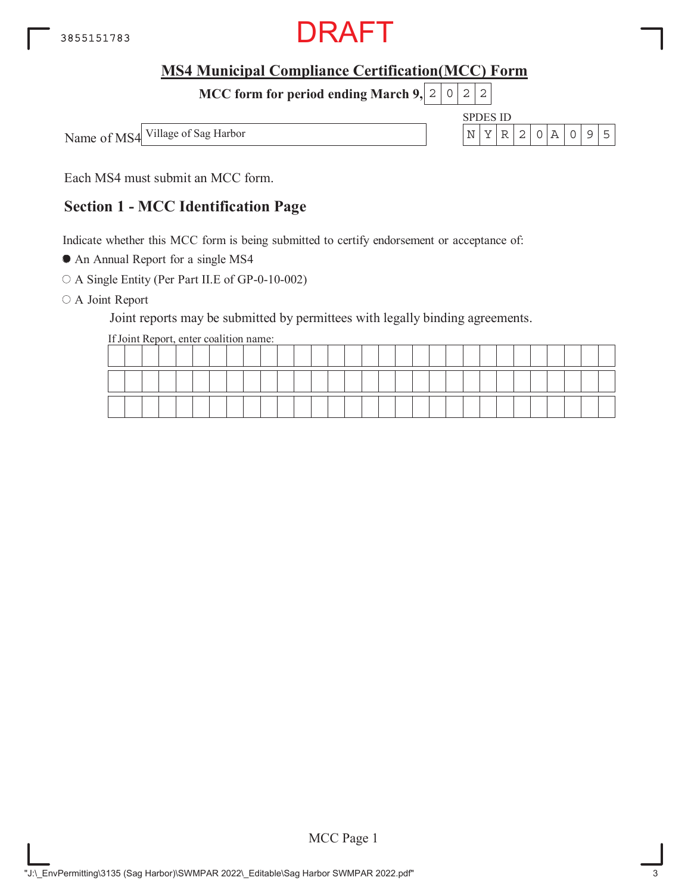

SPDES ID

**MCC form for period ending March 9, 2 0 2 2** 

Name of MS4 Village of Sag Harbor  $\vert N \vert Y \vert R \vert 2 \vert 0 \vert A \vert 0 \vert 9 \vert 5$ 

Each MS4 must submit an MCC form.

## **Section 1 - MCC Identification Page**

Indicate whether this MCC form is being submitted to certify endorsement or acceptance of:

An Annual Report for a single MS4

A Single Entity (Per Part II.E of GP-0-10-002)

O A Joint Report

Joint reports may be submitted by permittees with legally binding agreements.

If Joint Report, enter coalition name:

|  |  |    |  |  |  |  |  |  |  |  |  |  |  | __ |  |
|--|--|----|--|--|--|--|--|--|--|--|--|--|--|----|--|
|  |  | -- |  |  |  |  |  |  |  |  |  |  |  |    |  |

MCC Page 1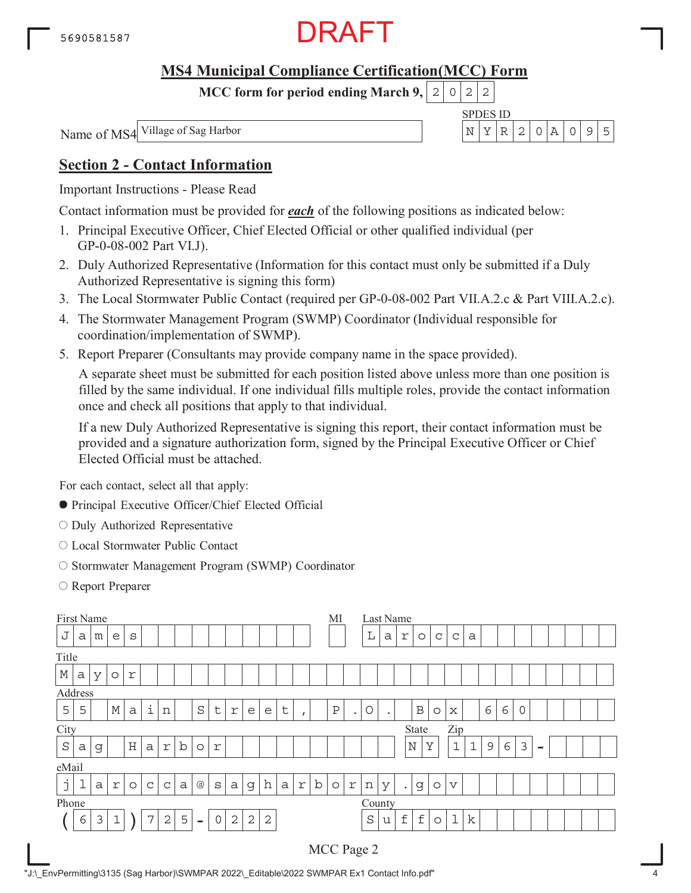

**MCC form for period ending March 9,**  $0|2|2$ 

SPDES ID

Name of MS4 Village of Sag Harbor  $\vert N \vert Y \vert R \vert 2 \vert 0 \vert A \vert 0 \vert 9 \vert 5$ 

## **Section 2 - Contact Information**

Important Instructions - Please Read

Contact information must be provided for *each* of the following positions as indicated below:

- 1. Principal Executive Officer, Chief Elected Official or other qualified individual (per GP-0-08-002 Part VI.J).
- 2. Duly Authorized Representative (Information for this contact must only be submitted if a Duly Authorized Representative is signing this form)
- 3. The Local Stormwater Public Contact (required per GP-0-08-002 Part VII.A.2.c & Part VIII.A.2.c).
- 4. The Stormwater Management Program (SWMP) Coordinator (Individual responsible for coordination/implementation of SWMP).
- 5. Report Preparer (Consultants may provide company name in the space provided).

A separate sheet must be submitted for each position listed above unless more than one position is filled by the same individual. If one individual fills multiple roles, provide the contact information once and check all positions that apply to that individual.

If a new Duly Authorized Representative is signing this report, their contact information must be provided and a signature authorization form, signed by the Principal Executive Officer or Chief Elected Official must be attached.

For each contact, select all that apply:

- Principal Executive Officer/Chief Elected Official
- O Duly Authorized Representative
- Local Stormwater Public Contact
- O Stormwater Management Program (SWMP) Coordinator
- Report Preparer

| First Name  |                                                                                                                                                           |   |             |         |             |              |   |          |             |              |                |            |              |   |         | МI         |              |         | Last Name |                    |             |         |                 |              |   |   |   |          |  |  |
|-------------|-----------------------------------------------------------------------------------------------------------------------------------------------------------|---|-------------|---------|-------------|--------------|---|----------|-------------|--------------|----------------|------------|--------------|---|---------|------------|--------------|---------|-----------|--------------------|-------------|---------|-----------------|--------------|---|---|---|----------|--|--|
| J           | $\mathbb L$<br>S<br>a<br>m<br>e                                                                                                                           |   |             |         |             |              |   |          |             |              |                |            |              |   |         | a          | r            | $\circ$ | C         | $\mathsf{C}$       | a           |         |                 |              |   |   |   |          |  |  |
| Title       |                                                                                                                                                           |   |             |         |             |              |   |          |             |              |                |            |              |   |         |            |              |         |           |                    |             |         |                 |              |   |   |   |          |  |  |
| $\mathbb M$ | r<br>a<br>У<br>$\circ$                                                                                                                                    |   |             |         |             |              |   |          |             |              |                |            |              |   |         |            |              |         |           |                    |             |         |                 |              |   |   |   |          |  |  |
|             | Address                                                                                                                                                   |   |             |         |             |              |   |          |             |              |                |            |              |   |         |            |              |         |           |                    |             |         |                 |              |   |   |   |          |  |  |
| 5           | $\rm S$<br>$\, {\bf P}$<br>$\mathbb M$<br>5<br>$\sf t$<br>О<br>t<br>$\mathsf{a}$<br>r<br>e<br>e<br>$\mathbf 1$<br>n<br>$\bullet$<br>$\bullet$<br>$\prime$ |   |             |         |             |              |   |          |             |              |                |            |              |   |         |            | $\, {\bf B}$ | $\circ$ | X         |                    | 6           | 6       | 0               |              |   |   |   |          |  |  |
| City        |                                                                                                                                                           |   |             |         |             |              |   |          |             |              |                |            |              |   |         |            |              |         |           |                    | State       |         | Zip             |              |   |   |   |          |  |  |
| $\rm S$     | a                                                                                                                                                         | g |             | $\rm H$ | a           | r            | b | $\circ$  | r           |              |                |            |              |   |         |            |              |         |           |                    | $\mathbb N$ | Y       | $\mathbf{1}$    | $\mathbf{1}$ | 9 | 6 | 3 | $\equiv$ |  |  |
| eMail       |                                                                                                                                                           |   |             |         |             |              |   |          |             |              |                |            |              |   |         |            |              |         |           |                    |             |         |                 |              |   |   |   |          |  |  |
| j           | ᅩ                                                                                                                                                         | a | $\Upsilon$  | $\circ$ | $\mathsf C$ | $\mathsf C$  | a | $@$      | S           | a            | g              | h          | $\mathsf{a}$ | r | $\rm b$ | $\circ$    | r            | n       | У         | $\bullet$          | g           | $\circ$ | $\triangledown$ |              |   |   |   |          |  |  |
| Phone       |                                                                                                                                                           |   |             |         |             |              |   |          |             |              |                |            |              |   |         |            |              |         | County    |                    |             |         |                 |              |   |   |   |          |  |  |
|             | 6                                                                                                                                                         | 3 | $\mathbf 1$ |         | 7           | $\mathbf{2}$ | 5 | $\equiv$ | $\mathbf 0$ | $\mathbf{2}$ | $\overline{2}$ | $\sqrt{2}$ |              |   |         |            |              | $\rm S$ | u         | $\pmb{\mathrm{f}}$ | $\mathbf f$ | $\circ$ | $\mathbf 1$     | $\rm k$      |   |   |   |          |  |  |
|             |                                                                                                                                                           |   |             |         |             |              |   |          |             |              |                |            |              |   |         | MCC Page 2 |              |         |           |                    |             |         |                 |              |   |   |   |          |  |  |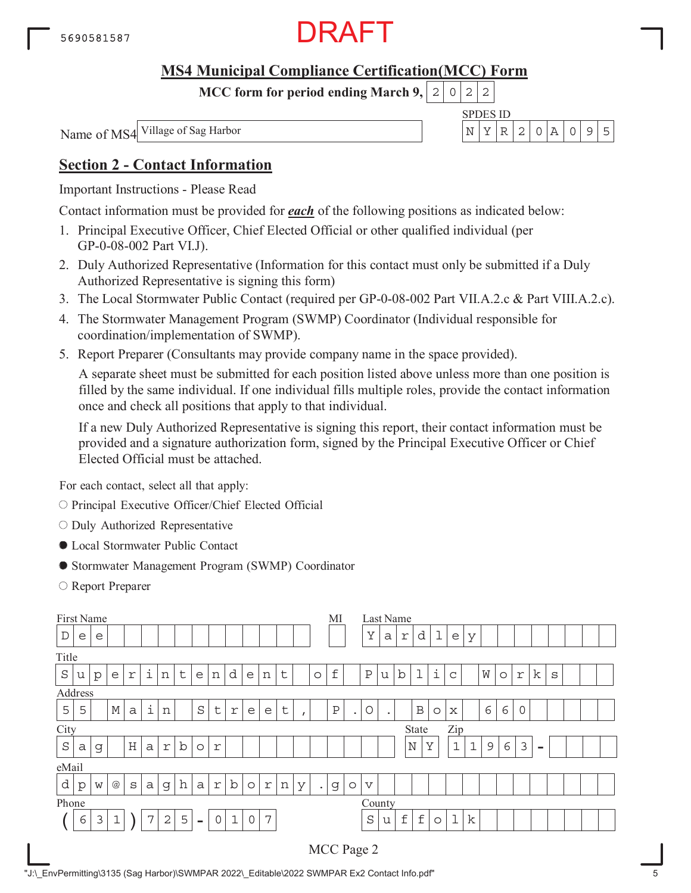

**MCC form for period ending March 9,**  $0|2|2$ 

SPDES ID

Name of MS4 Village of Sag Harbor  $\vert N \vert Y \vert R \vert 2 \vert 0 \vert A \vert 0$  9 5

## **Section 2 - Contact Information**

Important Instructions - Please Read

Contact information must be provided for *each* of the following positions as indicated below:

- 1. Principal Executive Officer, Chief Elected Official or other qualified individual (per GP-0-08-002 Part VI.J).
- 2. Duly Authorized Representative (Information for this contact must only be submitted if a Duly Authorized Representative is signing this form)
- 3. The Local Stormwater Public Contact (required per GP-0-08-002 Part VII.A.2.c & Part VIII.A.2.c).
- 4. The Stormwater Management Program (SWMP) Coordinator (Individual responsible for coordination/implementation of SWMP).
- 5. Report Preparer (Consultants may provide company name in the space provided).

A separate sheet must be submitted for each position listed above unless more than one position is filled by the same individual. If one individual fills multiple roles, provide the contact information once and check all positions that apply to that individual.

If a new Duly Authorized Representative is signing this report, their contact information must be provided and a signature authorization form, signed by the Principal Executive Officer or Chief Elected Official must be attached.

For each contact, select all that apply:

- O Principal Executive Officer/Chief Elected Official
- $\circ$  Duly Authorized Representative
- Local Stormwater Public Contact
- Stormwater Management Program (SWMP) Coordinator
- Report Preparer

| First Name |   |              |                 |              |   |   |         |                |                |             |                     |            |   |          |           | MI            |         |                 |   | Last Name   |                    |         |                           |             |   |         |   |          |   |  |  |
|------------|---|--------------|-----------------|--------------|---|---|---------|----------------|----------------|-------------|---------------------|------------|---|----------|-----------|---------------|---------|-----------------|---|-------------|--------------------|---------|---------------------------|-------------|---|---------|---|----------|---|--|--|
| D          | e | e            |                 |              |   |   |         |                |                |             |                     |            |   |          |           |               |         | Y               | a | r           | d                  | ı       | $\mathop{\rm e}\nolimits$ | У           |   |         |   |          |   |  |  |
| Title      |   |              |                 |              |   |   |         |                |                |             |                     |            |   |          |           |               |         |                 |   |             |                    |         |                           |             |   |         |   |          |   |  |  |
| $\rm S$    | u | $\mathbf{p}$ | e               | r            | i | n | $\sf t$ | e              | n              | d           | e                   | n          | t |          | $\circ$   | $\pounds$     |         | $\rm P$         | u | $\mathbf b$ | $\mathbf 1$        | i       | C                         |             | W | $\circ$ | r | k        | S |  |  |
| Address    |   |              |                 |              |   |   |         |                |                |             |                     |            |   |          |           |               |         |                 |   |             |                    |         |                           |             |   |         |   |          |   |  |  |
| 5          | 5 |              | $\mathbb M$     | $\mathsf{a}$ | i | n |         | S              | t              | r           | e                   | e          | t | $\prime$ |           | $\, {\bf P}$  | ٠       | О               | ٠ |             | $\, {\bf B}$       | $\circ$ | Х                         |             | 6 | 6       | 0 |          |   |  |  |
| City       |   |              |                 |              |   |   |         |                |                |             |                     |            |   |          |           |               |         |                 |   |             | State              |         | Zip                       |             |   |         |   |          |   |  |  |
| $\rm S$    | a | g            |                 | Н            | a | r | b       | $\circ$        | r              |             |                     |            |   |          |           |               |         |                 |   |             | $\mathbb N$        | Y       | $\mathbf 1$               | $\mathbf 1$ | 9 | 6       | 3 | $\equiv$ |   |  |  |
| eMail      |   |              |                 |              |   |   |         |                |                |             |                     |            |   |          |           |               |         |                 |   |             |                    |         |                           |             |   |         |   |          |   |  |  |
| d          | p | W            | $^{\copyright}$ | S            | а | g | h       | $\mathsf{a}$   | $\Upsilon$     | $\mathbf b$ | $\circ$             | $\Upsilon$ | n | У        | $\bullet$ | $\mathcal{G}$ | $\circ$ | $\triangledown$ |   |             |                    |         |                           |             |   |         |   |          |   |  |  |
| Phone      |   |              |                 |              |   |   |         |                |                |             |                     |            |   |          |           |               |         | County          |   |             |                    |         |                           |             |   |         |   |          |   |  |  |
|            | 6 | 3            | 1               |              | 7 | 2 | 5       | $\blacksquare$ | $\overline{0}$ | $\mathbf 1$ | $\mathsf{O}\xspace$ | 7          |   |          |           |               |         | $\rm S$         | u | $\mathbf f$ | $\pmb{\mathtt{f}}$ | $\circ$ | $\mathbf 1$               | k           |   |         |   |          |   |  |  |
|            |   |              |                 |              |   |   |         |                |                |             |                     |            |   |          |           | MCC Page 2    |         |                 |   |             |                    |         |                           |             |   |         |   |          |   |  |  |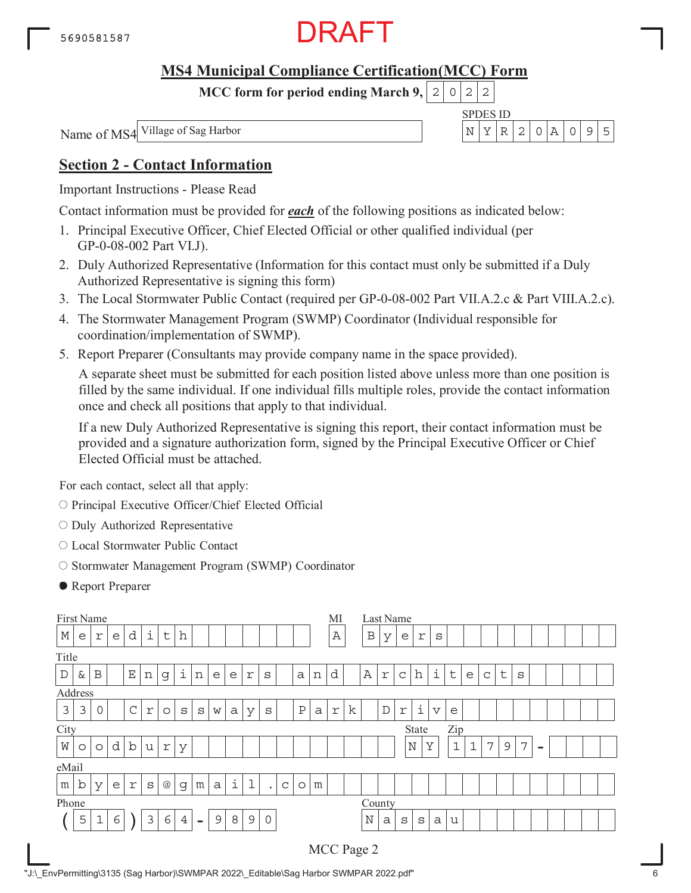

**MCC form for period ending March 9,**  $0|2|2$ 

Name of MS4

SPDES ID Village of Sag Harbor  $\vert N \vert Y \vert R \vert 2 \vert 0 \vert A \vert 0$  9 5

### **Section 2 - Contact Information**

Important Instructions - Please Read

Contact information must be provided for *each* of the following positions as indicated below:

- 1. Principal Executive Officer, Chief Elected Official or other qualified individual (per GP-0-08-002 Part VI.J).
- 2. Duly Authorized Representative (Information for this contact must only be submitted if a Duly Authorized Representative is signing this form)
- 3. The Local Stormwater Public Contact (required per GP-0-08-002 Part VII.A.2.c & Part VIII.A.2.c).
- 4. The Stormwater Management Program (SWMP) Coordinator (Individual responsible for coordination/implementation of SWMP).
- 5. Report Preparer (Consultants may provide company name in the space provided).

A separate sheet must be submitted for each position listed above unless more than one position is filled by the same individual. If one individual fills multiple roles, provide the contact information once and check all positions that apply to that individual.

If a new Duly Authorized Representative is signing this report, their contact information must be provided and a signature authorization form, signed by the Principal Executive Officer or Chief Elected Official must be attached.

For each contact, select all that apply:

- O Principal Executive Officer/Chief Elected Official
- $\circ$  Duly Authorized Representative
- Local Stormwater Public Contact
- O Stormwater Management Program (SWMP) Coordinator
- Report Preparer

| First Name  |   |             |   |             |                           |                 |                |                          |   |   |             |              |   |              |   | MI          |   |              |             | Last Name    |             |                         |              |             |             |             |   |                          |  |  |
|-------------|---|-------------|---|-------------|---------------------------|-----------------|----------------|--------------------------|---|---|-------------|--------------|---|--------------|---|-------------|---|--------------|-------------|--------------|-------------|-------------------------|--------------|-------------|-------------|-------------|---|--------------------------|--|--|
| $\mathbb M$ | e | r           | e | d           | i                         | t               | h              |                          |   |   |             |              |   |              |   | Α           |   | $\, {\bf B}$ | У           | e            | r           | S                       |              |             |             |             |   |                          |  |  |
| Title       |   |             |   |             |                           |                 |                |                          |   |   |             |              |   |              |   |             |   |              |             |              |             |                         |              |             |             |             |   |                          |  |  |
| $\mathbb D$ | & | B           |   | $\mathbf E$ | $\,$ $\,$ $\,$            | g               | i              | n                        | e | e | r           | S            |   | a            | n | d           |   | $\mathbb A$  | $\Upsilon$  | $\mathsf{C}$ | h           | i                       | $\sf t$      | e           | $\mathsf C$ | $\mathsf t$ | S |                          |  |  |
| Address     |   |             |   |             |                           |                 |                |                          |   |   |             |              |   |              |   |             |   |              |             |              |             |                         |              |             |             |             |   |                          |  |  |
| 3           | 3 | $\mathbf 0$ |   | $\mathsf C$ | $\ensuremath{\mathbf{r}}$ | $\circ$         | S              | $\rm s$                  | W | a | У           | S            |   | $\, {\bf P}$ | a | $\mathbf r$ | k |              | $\mathbb D$ | $\Upsilon$   | i           | $\overline{\mathbf{V}}$ | e            |             |             |             |   |                          |  |  |
| City        |   |             |   |             |                           |                 |                |                          |   |   |             |              |   |              |   |             |   |              |             |              | State       |                         | Zip          |             |             |             |   |                          |  |  |
| W           | O | $\circ$     | d | $\mathbf b$ | u                         | r               | У              |                          |   |   |             |              |   |              |   |             |   |              |             |              | $\mathbb N$ | Y                       | $\mathbf{1}$ | $\mathbf 1$ | 7           | 9           | 7 | $\overline{\phantom{0}}$ |  |  |
| eMail       |   |             |   |             |                           |                 |                |                          |   |   |             |              |   |              |   |             |   |              |             |              |             |                         |              |             |             |             |   |                          |  |  |
| m           | b | У           | e | r           | S                         | $^{\copyright}$ | g              | m                        | a | i | $\mathbf 1$ | $\bullet$    | C | $\circ$      | m |             |   |              |             |              |             |                         |              |             |             |             |   |                          |  |  |
| Phone       |   |             |   |             |                           |                 |                |                          |   |   |             |              |   |              |   |             |   | County       |             |              |             |                         |              |             |             |             |   |                          |  |  |
|             | 5 | 1           | 6 |             | 3                         | 6               | $\overline{4}$ | $\overline{\phantom{a}}$ | 9 | 8 | $\mathsf 9$ | $\mathsf{O}$ |   |              |   |             |   | $\mathbf N$  | a           | S            | S           | a                       | u            |             |             |             |   |                          |  |  |
|             |   |             |   |             |                           |                 |                |                          |   |   |             |              |   |              |   |             |   | MCC Page 2   |             |              |             |                         |              |             |             |             |   |                          |  |  |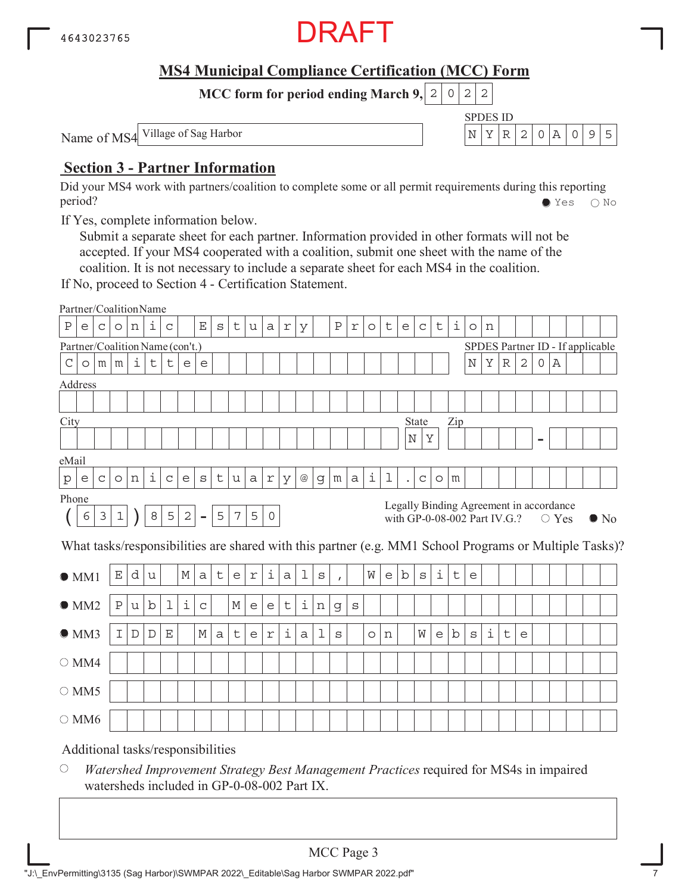

SPDES ID

**MCC form for period ending March 9, 2 0 2 2** 

Name of MS4 Village of Sag Harbor  $\vert N \vert Y \vert R \vert 2 \vert 0 \vert A \vert 0 \vert 9 \vert 5$ 

### **Section 3 - Partner Information**

Did your MS4 work with partners/coalition to complete some or all permit requirements during this reporting period? Yes No

If Yes, complete information below.

Submit a separate sheet for each partner. Information provided in other formats will not be accepted. If your MS4 cooperated with a coalition, submit one sheet with the name of the coalition. It is not necessary to include a separate sheet for each MS4 in the coalition.

If No, proceed to Section 4 - Certification Statement.

|               | Partner/CoalitionName           |                |             |   |             |             |            |                          |              |                |            |                |                     |                 |         |              |                |         |   |             |             |         |     |                                                                         |                    |             |             |   |             |                                  |                                                                                                        |
|---------------|---------------------------------|----------------|-------------|---|-------------|-------------|------------|--------------------------|--------------|----------------|------------|----------------|---------------------|-----------------|---------|--------------|----------------|---------|---|-------------|-------------|---------|-----|-------------------------------------------------------------------------|--------------------|-------------|-------------|---|-------------|----------------------------------|--------------------------------------------------------------------------------------------------------|
| Ρ             | e                               | $\mathsf{C}$   | $\circ$     | n | i           | C           |            | Ε                        | $\mathtt{s}$ | t              | u          | a              | $\Upsilon$          | У               |         | $\, {\bf P}$ | $\,$ $\,$ $\,$ | $\circ$ | t | e           | $\mathsf C$ | t       | i   | $\circ$                                                                 | n                  |             |             |   |             |                                  |                                                                                                        |
|               | Partner/Coalition Name (con't.) |                |             |   |             |             |            |                          |              |                |            |                |                     |                 |         |              |                |         |   |             |             |         |     |                                                                         |                    |             |             |   |             | SPDES Partner ID - If applicable |                                                                                                        |
| $\mathcal{C}$ | $\circ$                         | m              | m           | i | $\mathsf t$ | t           | e          | e                        |              |                |            |                |                     |                 |         |              |                |         |   |             |             |         |     | $\mathbf N$                                                             | Υ                  | $\mathbb R$ | $\mathbf 2$ | 0 | Α           |                                  |                                                                                                        |
|               | Address                         |                |             |   |             |             |            |                          |              |                |            |                |                     |                 |         |              |                |         |   |             |             |         |     |                                                                         |                    |             |             |   |             |                                  |                                                                                                        |
|               |                                 |                |             |   |             |             |            |                          |              |                |            |                |                     |                 |         |              |                |         |   |             |             |         |     |                                                                         |                    |             |             |   |             |                                  |                                                                                                        |
| City          |                                 |                |             |   |             |             |            |                          |              |                |            |                |                     |                 |         |              |                |         |   |             | State       |         | Zip |                                                                         |                    |             |             |   |             |                                  |                                                                                                        |
|               |                                 |                |             |   |             |             |            |                          |              |                |            |                |                     |                 |         |              |                |         |   | $\mathbb N$ | Υ           |         |     |                                                                         |                    |             |             |   |             |                                  |                                                                                                        |
| eMail         |                                 |                |             |   |             |             |            |                          |              |                |            |                |                     |                 |         |              |                |         |   |             |             |         |     |                                                                         |                    |             |             |   |             |                                  |                                                                                                        |
| p             | e                               | $\mathtt{C}$   | $\circ$     | n | i           | $\mathsf C$ | е          | $\mathtt{s}$             | $\sf t$      | u              | a          | $\Upsilon$     | У                   | $^{\copyright}$ | g       | m            | $\rm{a}$       | i       | 1 | $\bullet$   | $\mathsf C$ | $\circ$ | m   |                                                                         |                    |             |             |   |             |                                  |                                                                                                        |
|               | Phone                           |                |             |   |             |             |            |                          |              |                |            |                |                     |                 |         |              |                |         |   |             |             |         |     |                                                                         |                    |             |             |   |             |                                  |                                                                                                        |
|               | 6                               | $\mathfrak{Z}$ | $\mathbf 1$ |   | $\,8\,$     | 5           | $\sqrt{2}$ | $\overline{\phantom{a}}$ | 5            | $\overline{7}$ | 5          | $\mathsf O$    |                     |                 |         |              |                |         |   |             |             |         |     | Legally Binding Agreement in accordance<br>with GP-0-08-002 Part IV.G.? |                    |             |             |   | $\circ$ Yes |                                  | $\bullet$ No                                                                                           |
|               |                                 |                |             |   |             |             |            |                          |              |                |            |                |                     |                 |         |              |                |         |   |             |             |         |     |                                                                         |                    |             |             |   |             |                                  | What tasks/responsibilities are shared with this partner (e.g. MM1 School Programs or Multiple Tasks)? |
|               | $\bullet$ MM1                   |                | $\mathbf E$ | d |             |             |            |                          |              |                |            |                |                     |                 |         |              |                |         |   |             |             |         |     |                                                                         |                    |             |             |   |             |                                  |                                                                                                        |
|               |                                 |                |             |   | u           |             | М          | a                        | t            | e              | $\Upsilon$ | i              | a                   | 1               | $\rm s$ | $\mathbf{r}$ |                | W       | e | b           | S           | i       | t   | e                                                                       |                    |             |             |   |             |                                  |                                                                                                        |
|               | OMM2                            |                | $\rm P$     | u | b           | 1           | $\dot{1}$  | $\mathsf C$              |              | М              | е          | e              | t                   | i               | n       | g            | $\rm s$        |         |   |             |             |         |     |                                                                         |                    |             |             |   |             |                                  |                                                                                                        |
|               | OMM3                            |                | I           | D | D           | $\mathbf E$ |            | М                        | $\mathsf{a}$ | t              | e          | $\,$ $\,$ $\,$ | $\dot{\mathbbm{1}}$ | a               | 1       | $\rm s$      |                | $\circ$ | n |             | W           | e       | b   | $\rm s$                                                                 | $\dot{\mathtt{l}}$ | t           | e           |   |             |                                  |                                                                                                        |
|               | $\circ$ MM4                     |                |             |   |             |             |            |                          |              |                |            |                |                     |                 |         |              |                |         |   |             |             |         |     |                                                                         |                    |             |             |   |             |                                  |                                                                                                        |
|               | $\bigcirc$ MM5                  |                |             |   |             |             |            |                          |              |                |            |                |                     |                 |         |              |                |         |   |             |             |         |     |                                                                         |                    |             |             |   |             |                                  |                                                                                                        |
|               | $\bigcirc$ MM6                  |                |             |   |             |             |            |                          |              |                |            |                |                     |                 |         |              |                |         |   |             |             |         |     |                                                                         |                    |             |             |   |             |                                  |                                                                                                        |

 $\bigcirc$ *Watershed Improvement Strategy Best Management Practices* required for MS4s in impaired watersheds included in GP-0-08-002 Part IX.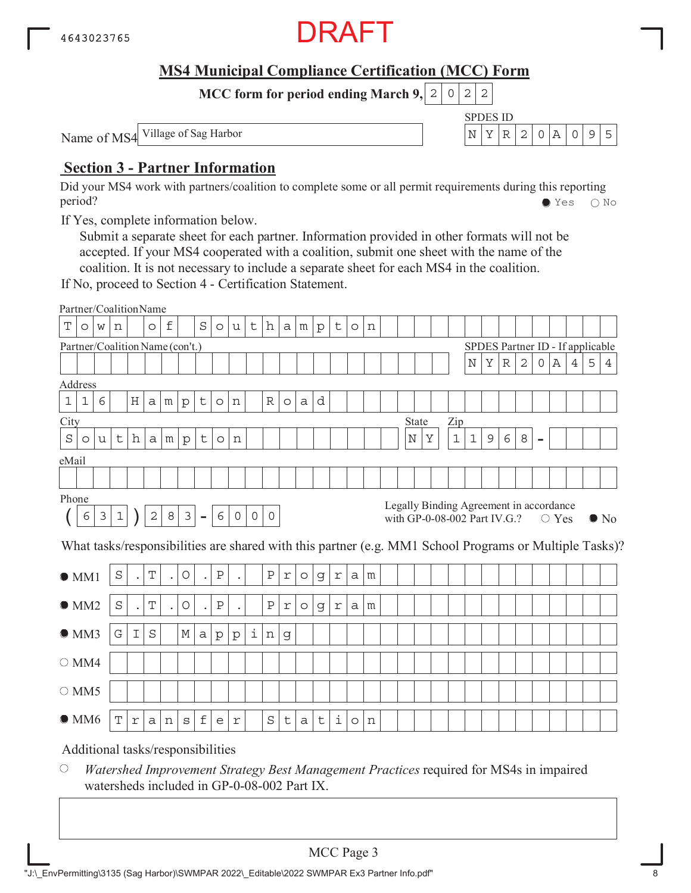

SPDES ID

**MCC form for period ending March 9, 2 0 2 2** 

Name of MS4 Village of Sag Harbor  $\vert N \vert Y \vert R \vert 2 \vert 0 \vert A \vert 0 \vert 9 \vert 5$ 

### **Section 3 - Partner Information**

Did your MS4 work with partners/coalition to complete some or all permit requirements during this reporting period? Yes No

If Yes, complete information below.

Submit a separate sheet for each partner. Information provided in other formats will not be accepted. If your MS4 cooperated with a coalition, submit one sheet with the name of the coalition. It is not necessary to include a separate sheet for each MS4 in the coalition.

If No, proceed to Section 4 - Certification Statement.

|             | Partner/CoalitionName             |   |         |                      |            |                      |              |                      |              |         |         |              |                |         |             |             |         |   |  |         |   |             |             |                                                                         |             |              |                |                |   |                                  |                                                                                                        |
|-------------|-----------------------------------|---|---------|----------------------|------------|----------------------|--------------|----------------------|--------------|---------|---------|--------------|----------------|---------|-------------|-------------|---------|---|--|---------|---|-------------|-------------|-------------------------------------------------------------------------|-------------|--------------|----------------|----------------|---|----------------------------------|--------------------------------------------------------------------------------------------------------|
| Т           | $\circ$                           | W | n       |                      | $\circ$    | f                    |              | $\rm S$              | $\circ$      | u       | t       | h            | a <sub>l</sub> | m       | $\rm p$     | $\mathsf t$ | $\circ$ | n |  |         |   |             |             |                                                                         |             |              |                |                |   |                                  |                                                                                                        |
|             | Partner/Coalition Name (con't.)   |   |         |                      |            |                      |              |                      |              |         |         |              |                |         |             |             |         |   |  |         |   |             |             |                                                                         |             |              |                |                |   | SPDES Partner ID - If applicable |                                                                                                        |
|             |                                   |   |         |                      |            |                      |              |                      |              |         |         |              |                |         |             |             |         |   |  |         |   |             | $\mathbf N$ | Υ                                                                       | $\mathbb R$ | $\mathbf{2}$ | 0              | Α              | 4 | 5                                | 4                                                                                                      |
|             | Address                           |   |         |                      |            |                      |              |                      |              |         |         |              |                |         |             |             |         |   |  |         |   |             |             |                                                                         |             |              |                |                |   |                                  |                                                                                                        |
| $\mathbf 1$ | $\mathbf{1}$                      | 6 |         | $\rm H$              | a          | m                    | $\rm{p}$     | t                    | $\circ$      | n       |         | $\mathbb R$  | $\circ$        | a       | d           |             |         |   |  |         |   |             |             |                                                                         |             |              |                |                |   |                                  |                                                                                                        |
| City        |                                   |   |         |                      |            |                      |              |                      |              |         |         |              |                |         |             |             |         |   |  | State   |   | Zip         |             |                                                                         |             |              |                |                |   |                                  |                                                                                                        |
| $\rm S$     | $\circ$                           | u | t       | h                    | a          | m <sub>1</sub>       | p            | t                    | $\circ$      | n       |         |              |                |         |             |             |         |   |  | $\rm N$ | Υ | $\mathbf 1$ | $\mathbf 1$ | 9                                                                       | 6           | 8            | $\blacksquare$ |                |   |                                  |                                                                                                        |
| eMail       |                                   |   |         |                      |            |                      |              |                      |              |         |         |              |                |         |             |             |         |   |  |         |   |             |             |                                                                         |             |              |                |                |   |                                  |                                                                                                        |
|             |                                   |   |         |                      |            |                      |              |                      |              |         |         |              |                |         |             |             |         |   |  |         |   |             |             |                                                                         |             |              |                |                |   |                                  |                                                                                                        |
| Phone       |                                   |   |         |                      |            |                      |              |                      |              |         |         |              |                |         |             |             |         |   |  |         |   |             |             |                                                                         |             |              |                |                |   |                                  |                                                                                                        |
|             | 6                                 | 3 | $1\,$   |                      | $\sqrt{2}$ | 8                    | $\mathsf 3$  | $\blacksquare$       | 6            | 0       | $\circ$ | $\circ$      |                |         |             |             |         |   |  |         |   |             |             | Legally Binding Agreement in accordance<br>with GP-0-08-002 Part IV.G.? |             |              |                | $\bigcirc$ Yes |   |                                  | $\bullet$ No                                                                                           |
|             |                                   |   |         |                      |            |                      |              |                      |              |         |         |              |                |         |             |             |         |   |  |         |   |             |             |                                                                         |             |              |                |                |   |                                  | What tasks/responsibilities are shared with this partner (e.g. MM1 School Programs or Multiple Tasks)? |
|             | $\bullet$ MM1                     |   | $\rm S$ | $\ddot{\phantom{0}}$ | T          | $\ddot{\phantom{0}}$ | O            | $\bullet$            | $\, {\bf P}$ |         |         | $\, {\bf P}$ | $\Upsilon$     | $\circ$ | g           | $\Upsilon$  | a       | m |  |         |   |             |             |                                                                         |             |              |                |                |   |                                  |                                                                                                        |
|             | OMM2                              |   | $\rm S$ |                      | T          |                      | O            | $\ddot{\phantom{a}}$ | $\, {\bf P}$ |         |         | Ρ            | $\mathbf r$    | $\circ$ | $\mathsf g$ | r           | a       | m |  |         |   |             |             |                                                                         |             |              |                |                |   |                                  |                                                                                                        |
|             | OMM3                              |   | G       | I                    | S          |                      | М            | a                    | $\mathbf{p}$ | $\rm p$ | i       | n            | $\mathsf d$    |         |             |             |         |   |  |         |   |             |             |                                                                         |             |              |                |                |   |                                  |                                                                                                        |
|             | $\bigcirc$ MM4                    |   |         |                      |            |                      |              |                      |              |         |         |              |                |         |             |             |         |   |  |         |   |             |             |                                                                         |             |              |                |                |   |                                  |                                                                                                        |
|             | $\circ$ MM5                       |   |         |                      |            |                      |              |                      |              |         |         |              |                |         |             |             |         |   |  |         |   |             |             |                                                                         |             |              |                |                |   |                                  |                                                                                                        |
|             | $\bullet$ MM6                     |   | T       | $\Upsilon$           | а          | n                    | $\mathtt{s}$ | f                    | e            | r       |         | $\rm S$      | t              | a       | t           | i           | $\circ$ | n |  |         |   |             |             |                                                                         |             |              |                |                |   |                                  |                                                                                                        |
|             | Additional tasks/responsibilities |   |         |                      |            |                      |              |                      |              |         |         |              |                |         |             |             |         |   |  |         |   |             |             |                                                                         |             |              |                |                |   |                                  |                                                                                                        |

 $\bigcirc$ *Watershed Improvement Strategy Best Management Practices* required for MS4s in impaired watersheds included in GP-0-08-002 Part IX.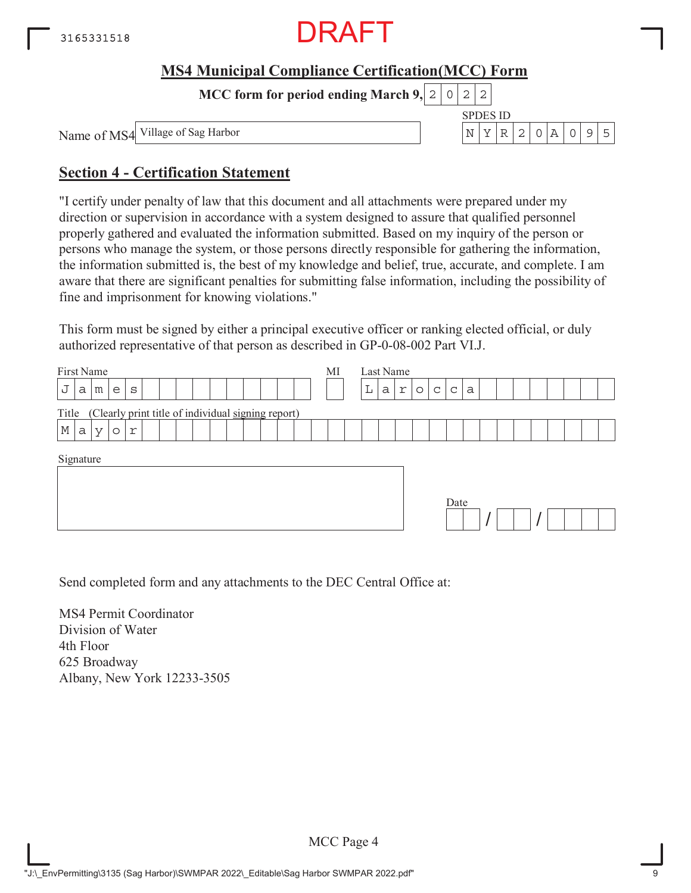

**MCC form for period ending March 9,**  $0|2|2$ 

Name of MS4

SPDES ID Village of Sag Harbor  $N \mid Y \mid R \mid 2 \mid 0 \mid A \mid 0 \mid 9 \mid 5$ 

### **Section 4 - Certification Statement**

"I certify under penalty of law that this document and all attachments were prepared under my direction or supervision in accordance with a system designed to assure that qualified personnel properly gathered and evaluated the information submitted. Based on my inquiry of the person or persons who manage the system, or those persons directly responsible for gathering the information, the information submitted is, the best of my knowledge and belief, true, accurate, and complete. I am aware that there are significant penalties for submitting false information, including the possibility of fine and imprisonment for knowing violations."

This form must be signed by either a principal executive officer or ranking elected official, or duly authorized representative of that person as described in GP-0-08-002 Part VI.J.

| First Name                                                  | MI | Last Name |              |                              |   |  |  |  |
|-------------------------------------------------------------|----|-----------|--------------|------------------------------|---|--|--|--|
| J<br>a<br>$\mathtt{s}$<br>m<br>e                            |    | L<br>а    | r<br>$\circ$ | $\mathsf{C}$<br>$\mathsf{C}$ | a |  |  |  |
| (Clearly print title of individual signing report)<br>Title |    |           |              |                              |   |  |  |  |
| $\mathbb M$<br>a<br>r<br>$\vee$<br>$\circ$                  |    |           |              |                              |   |  |  |  |
| Signature                                                   |    |           |              | Date                         |   |  |  |  |

Send completed form and any attachments to the DEC Central Office at:

MS4 Permit Coordinator Division of Water 4th Floor 625 Broadway Albany, New York 12233-3505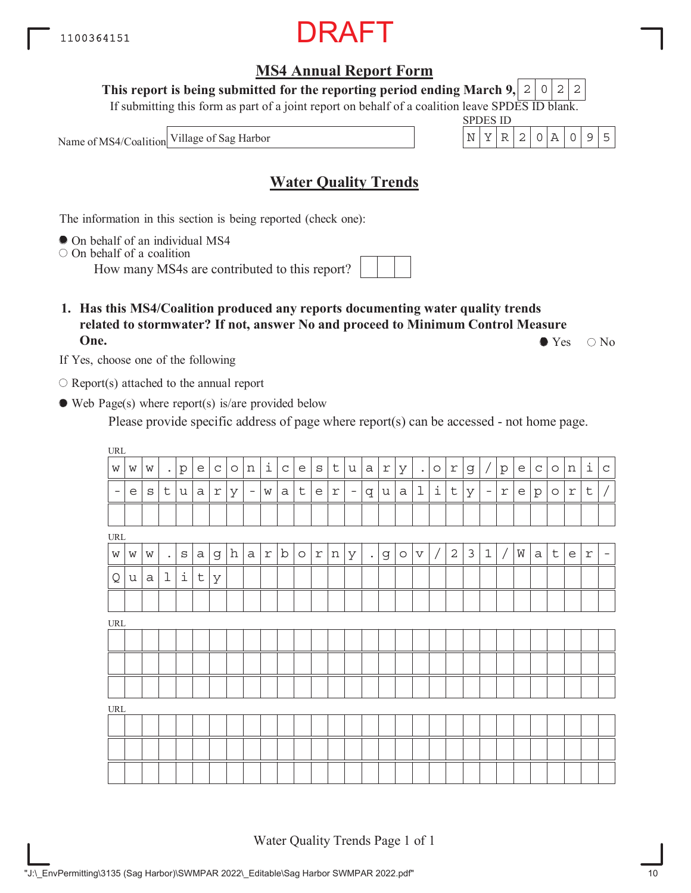"J:\\_EnvPermitting\3135 (Sag Harbor)\SWMPAR 2022\\_Editable\Sag Harbor SWMPAR 2022.pdf"

## **MS4 Annual Report Form**

**This report is being submitted for the reporting period ending March 9,**  $2|0|2|2$ 

If submitting this form as part of a joint report on behalf of a coalition leave SPDES ID blank.

Name of MS4/Coalition

## **Water Quality Trends**

The information in this section is being reported (check one):

On behalf of an individual MS4

 $\circ$  On behalf of a coalition

How many MS4s are contributed to this report?

**1. Has this MS4/Coalition produced any reports documenting water quality trends related to stormwater? If not, answer No and proceed to Minimum Control Measure One.**  $\bullet$  Yes  $\circ$  No

If Yes, choose one of the following

 $\bigcirc$  Report(s) attached to the annual report

Web Page(s) where report(s) is/are provided below

Please provide specific address of page where report(s) can be accessed - not home page.

| $\ensuremath{\mathsf{URL}}\xspace$ |   |              |                      |         |              |              |         |                          |            |              |             |            |             |                          |              |   |             |             |                    |              |                |                          |              |   |              |             |            |             |             |
|------------------------------------|---|--------------|----------------------|---------|--------------|--------------|---------|--------------------------|------------|--------------|-------------|------------|-------------|--------------------------|--------------|---|-------------|-------------|--------------------|--------------|----------------|--------------------------|--------------|---|--------------|-------------|------------|-------------|-------------|
| W                                  | W | W            | $\bullet$            | $\rm p$ | e            | $\mathsf{C}$ | $\circ$ | n                        | i          | $\mathsf{C}$ | e           | $\rm s$    | $\mathsf t$ | u                        | $\mathsf{a}$ | r | У           | $\bullet$   | $\circ$            | r            | g              | $\sqrt{2}$               | p            | e | $\mathsf C$  | $\circ$     | n          | i           | $\mathbf C$ |
| $\hspace{0.1mm}-\hspace{0.1mm}$    | e | $\mathbf{s}$ | $\mathsf t$          | u       | $\mathsf{a}$ | $\Upsilon$   | У       | $\overline{\phantom{a}}$ | W          | а            | $\mathsf t$ | e          | $\Upsilon$  | $\overline{\phantom{a}}$ | $q \mid$     | u | $\mathsf a$ | $\mathbf 1$ | $\dot{\mathtt{l}}$ | $\mathsf t$  | У              | $\overline{\phantom{a}}$ | $\mathtt{r}$ | e | $\mathtt{p}$ | $\circ$     | $\Upsilon$ | $\mathsf t$ | $\sqrt{2}$  |
|                                    |   |              |                      |         |              |              |         |                          |            |              |             |            |             |                          |              |   |             |             |                    |              |                |                          |              |   |              |             |            |             |             |
| $\ensuremath{\mathsf{URL}}\xspace$ |   |              |                      |         |              |              |         |                          |            |              |             |            |             |                          |              |   |             |             |                    |              |                |                          |              |   |              |             |            |             |             |
| $\mathbf W$                        | W | W            | $\ddot{\phantom{a}}$ | $\rm s$ | a            | g            | h       | $\mathsf{a}$             | $\Upsilon$ | $\mathbf b$  | $\circ$     | $\Upsilon$ | n           | У                        | $\bullet$    | g | $\circ$     | $\mathbf v$ |                    | $\mathbf{2}$ | $\mathfrak{Z}$ | $\mathbf 1$              | $\sqrt{2}$   | M | $\mathsf{a}$ | $\mathsf t$ | e          | $\Upsilon$  | $\equiv$    |
| Q                                  | u | a            | $\mathbf 1$          | i       | $\mathsf t$  | У            |         |                          |            |              |             |            |             |                          |              |   |             |             |                    |              |                |                          |              |   |              |             |            |             |             |
|                                    |   |              |                      |         |              |              |         |                          |            |              |             |            |             |                          |              |   |             |             |                    |              |                |                          |              |   |              |             |            |             |             |
| $\ensuremath{\mathsf{URL}}\xspace$ |   |              |                      |         |              |              |         |                          |            |              |             |            |             |                          |              |   |             |             |                    |              |                |                          |              |   |              |             |            |             |             |
|                                    |   |              |                      |         |              |              |         |                          |            |              |             |            |             |                          |              |   |             |             |                    |              |                |                          |              |   |              |             |            |             |             |
|                                    |   |              |                      |         |              |              |         |                          |            |              |             |            |             |                          |              |   |             |             |                    |              |                |                          |              |   |              |             |            |             |             |
|                                    |   |              |                      |         |              |              |         |                          |            |              |             |            |             |                          |              |   |             |             |                    |              |                |                          |              |   |              |             |            |             |             |
| $\ensuremath{\text{URL}}\xspace$   |   |              |                      |         |              |              |         |                          |            |              |             |            |             |                          |              |   |             |             |                    |              |                |                          |              |   |              |             |            |             |             |
|                                    |   |              |                      |         |              |              |         |                          |            |              |             |            |             |                          |              |   |             |             |                    |              |                |                          |              |   |              |             |            |             |             |
|                                    |   |              |                      |         |              |              |         |                          |            |              |             |            |             |                          |              |   |             |             |                    |              |                |                          |              |   |              |             |            |             |             |
|                                    |   |              |                      |         |              |              |         |                          |            |              |             |            |             |                          |              |   |             |             |                    |              |                |                          |              |   |              |             |            |             |             |

Water Quality Trends Page 1 of 1



SPDES ID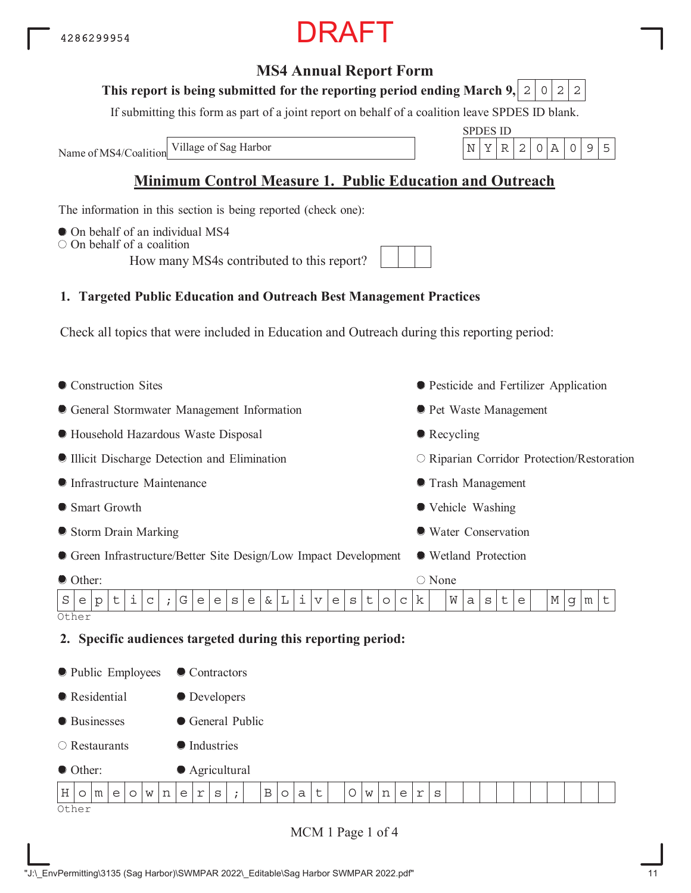## **MS4 Annual Report Form**

#### This report is being submitted for the reporting period ending March 9,  $\mid$  2  $\mid$  0  $\mid$  2  $\mid$  2

If submitting this form as part of a joint report on behalf of a coalition leave SPDES ID blank.

Name of MS4/Coalition

SPDES ID Village of Sag Harbor  $\vert N \vert Y \vert R \vert 2 \vert 0 \vert A \vert 0 \vert 9 \vert 5$ 

## **Minimum Control Measure 1. Public Education and Outreach**

The information in this section is being reported (check one):

- $\bullet$  On behalf of an individual MS4
- $\bigcirc$  On behalf of a coalition

How many MS4s contributed to this report?

## **1. Targeted Public Education and Outreach Best Management Practices**

Check all topics that were included in Education and Outreach during this reporting period:

- Construction Sites General Stormwater Management Information Household Hazardous Waste Disposal Illicit Discharge Detection and Elimination Infrastructure Maintenance ● Smart Growth Storm Drain Marking Green Infrastructure/Better Site Design/Low Impact Development Other: Pesticide and Fertilizer Application **• Pet Waste Management** • Recycling O Riparian Corridor Protection/Restoration Trash Management Vehicle Washing Water Conservation Wetland Protection ○ None **Other 2. Specific audiences targeted during this reporting period:** • Public Employees **Residential** ● Businesses ● Contractors **O** Developers General Public  $S$  e  $p$   $t$   $i$   $c$   $j$   $G$   $e$   $e$   $s$   $e$   $\frac{1}{2}$   $\frac{1}{2}$   $\frac{1}{2}$   $\frac{1}{2}$   $\frac{1}{2}$   $e$   $k$   $\frac{1}{2}$   $\frac{1}{2}$   $\frac{1}{2}$   $\frac{1}{2}$   $\frac{1}{2}$   $\frac{1}{2}$   $\frac{1}{2}$   $\frac{1}{2}$   $\frac{1}{2}$   $\frac{1}{2}$   $\frac{1}{2}$   $\frac{1}{2$
- Restaurants **Industries**



MCM 1 Page 1 of 4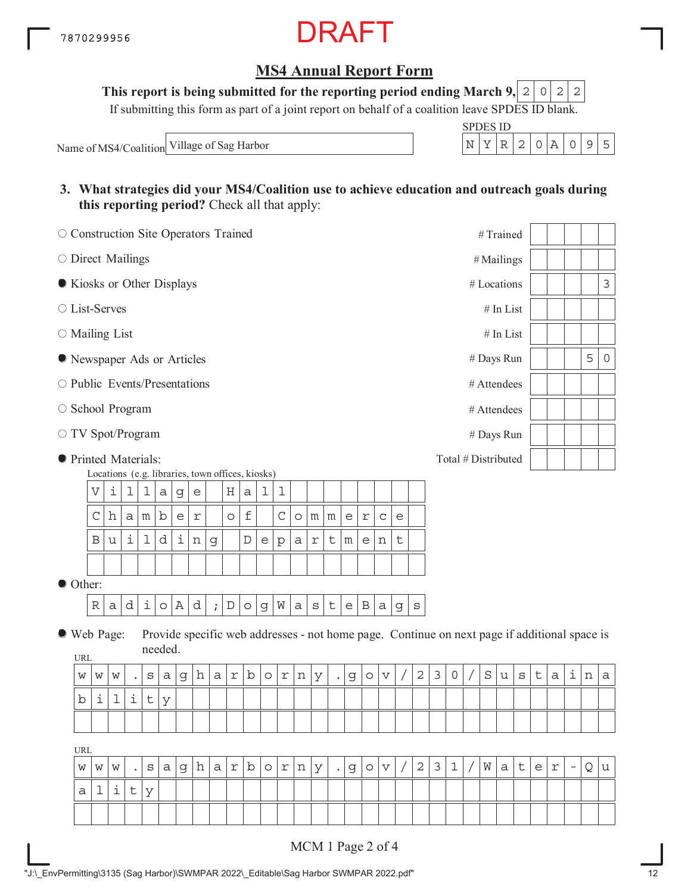## **MS4 Annual Report Form**

**This report is being submitted for the reporting period ending March 9, 2 0 2 2** 

If submitting this form as part of a joint report on behalf of a coalition leave SPDES ID blank.

Name of MS4/Coalition Village of Sag Harbor

| ٠Р. | - S II) |  |  |  |
|-----|---------|--|--|--|
|     |         |  |  |  |

**3. What strategies did your MS4/Coalition use to achieve education and outreach goals during this reporting period?** Check all that apply:

| O Construction Site Operators Trained |                                                                                                                                                                                |   |   |         |         |              |                         |             |                         |             |             |             |             |            |             |                                            |                         |                           |         |                |                                                                                              |              | #Trained    |           |         |   |   |                          |   |              |
|---------------------------------------|--------------------------------------------------------------------------------------------------------------------------------------------------------------------------------|---|---|---------|---------|--------------|-------------------------|-------------|-------------------------|-------------|-------------|-------------|-------------|------------|-------------|--------------------------------------------|-------------------------|---------------------------|---------|----------------|----------------------------------------------------------------------------------------------|--------------|-------------|-----------|---------|---|---|--------------------------|---|--------------|
| O Direct Mailings                     |                                                                                                                                                                                |   |   |         |         |              |                         |             |                         |             |             |             |             |            |             |                                            |                         |                           |         |                |                                                                                              |              | #Mailings   |           |         |   |   |                          |   |              |
| Kiosks or Other Displays              |                                                                                                                                                                                |   |   |         |         |              |                         |             |                         |             |             |             |             |            |             |                                            |                         |                           |         |                |                                                                                              |              | # Locations |           |         |   |   |                          |   | $\mathsf 3$  |
| ○ List-Serves                         |                                                                                                                                                                                |   |   |         |         |              |                         |             |                         |             |             |             |             |            |             |                                            |                         |                           |         |                |                                                                                              |              |             | # In List |         |   |   |                          |   |              |
| $\circ$ Mailing List                  |                                                                                                                                                                                |   |   |         |         |              |                         |             |                         |             |             |             |             |            |             |                                            |                         |                           |         |                |                                                                                              |              |             | # In List |         |   |   |                          |   |              |
| • Newspaper Ads or Articles           |                                                                                                                                                                                |   |   |         |         |              |                         |             |                         |             |             |             |             |            |             |                                            |                         |                           |         |                |                                                                                              |              | # Days Run  |           |         |   |   |                          | 5 | $\mathsf{O}$ |
| $\circ$ Public Events/Presentations   |                                                                                                                                                                                |   |   |         |         |              |                         |             |                         |             |             |             |             |            |             |                                            |                         |                           |         |                |                                                                                              |              | # Attendees |           |         |   |   |                          |   |              |
| ○ School Program                      |                                                                                                                                                                                |   |   |         |         |              |                         |             |                         |             |             |             |             |            |             |                                            |                         |                           |         |                |                                                                                              |              | # Attendees |           |         |   |   |                          |   |              |
|                                       | # Days Run<br>Total # Distributed                                                                                                                                              |   |   |         |         |              |                         |             |                         |             |             |             |             |            |             |                                            |                         |                           |         |                |                                                                                              |              |             |           |         |   |   |                          |   |              |
|                                       | ○ TV Spot/Program                                                                                                                                                              |   |   |         |         |              |                         |             |                         |             |             |             |             |            |             |                                            |                         |                           |         |                |                                                                                              |              |             |           |         |   |   |                          |   |              |
|                                       | <b>•</b> Printed Materials:<br>Locations (e.g. libraries, town offices, kiosks)<br>i<br>$\mathbf 1$<br>$\boldsymbol{\nabla}$<br>1<br>1<br>ı<br>Η<br>$\mathsf a$<br>e<br>a<br>g |   |   |         |         |              |                         |             |                         |             |             |             |             |            |             |                                            |                         |                           |         |                |                                                                                              |              |             |           |         |   |   |                          |   |              |
|                                       |                                                                                                                                                                                |   |   |         |         |              |                         |             |                         |             |             |             |             |            |             |                                            |                         |                           |         |                |                                                                                              |              |             |           |         |   |   |                          |   |              |
|                                       | $\mathsf C$                                                                                                                                                                    | h | a | m       | b       | $\mathsf{e}$ | $\mathfrak{\textbf{r}}$ |             | $\circ$                 | $\mathbf f$ |             | $\mathsf C$ | $\circ$     | m          | m           | $\mathsf{e}% _{0}\left( \mathsf{e}\right)$ | $\mathfrak{\textbf{r}}$ | $\mathsf C$               | e       |                |                                                                                              |              |             |           |         |   |   |                          |   |              |
|                                       | B                                                                                                                                                                              | u | i | 1       | d       | i            | $\, {\rm n}$            | $\mathsf d$ |                         | $\mathbb D$ | e           | p           | $\mathsf a$ | $\Upsilon$ | t           | ${\mathfrak m}$                            | $\epsilon$              | n                         | $\sf t$ |                |                                                                                              |              |             |           |         |   |   |                          |   |              |
| Other:                                |                                                                                                                                                                                |   |   |         |         |              |                         |             |                         |             |             |             |             |            |             |                                            |                         |                           |         |                |                                                                                              |              |             |           |         |   |   |                          |   |              |
|                                       |                                                                                                                                                                                |   |   |         |         |              |                         |             |                         |             |             |             |             |            |             |                                            |                         |                           |         |                |                                                                                              |              |             |           |         |   |   |                          |   |              |
|                                       | $\mathbb R$                                                                                                                                                                    | a | d | $\pm$   | $\circ$ | Α            | d                       | $\cdot$     | $\mathbb D$             | $\circ$     | $\mathbf g$ | W           | $\mathsf a$ | $\rm S$    | $\mathsf t$ | $\mathsf{e}% _{t}\left( t\right)$          | $\, {\bf B}$            | a                         | g       | $\rm s$        |                                                                                              |              |             |           |         |   |   |                          |   |              |
| ● Web Page:                           |                                                                                                                                                                                |   |   |         | needed. |              |                         |             |                         |             |             |             |             |            |             |                                            |                         |                           |         |                | Provide specific web addresses - not home page. Continue on next page if additional space is |              |             |           |         |   |   |                          |   |              |
| <b>URL</b>                            |                                                                                                                                                                                |   |   |         |         |              |                         |             |                         |             |             |             |             |            |             |                                            |                         |                           |         |                |                                                                                              |              |             |           |         |   |   |                          |   |              |
| W                                     | W                                                                                                                                                                              | W |   | $\rm s$ | а       | g            | h                       | a           | $\mathfrak{\textbf{r}}$ | b           | $\circ$     | $\Upsilon$  | n           | У          | $\bullet$   | g                                          | $\circ$                 | $\boldsymbol{\mathrm{v}}$ |         | $\mathbf 2$    | $\mathsf 3$                                                                                  | $\mathsf{O}$ | $\rm S$     | u         | $\rm s$ | t | a | i                        | n | a            |
| b                                     | i                                                                                                                                                                              | 1 | i | $\sf t$ | У       |              |                         |             |                         |             |             |             |             |            |             |                                            |                         |                           |         |                |                                                                                              |              |             |           |         |   |   |                          |   |              |
|                                       |                                                                                                                                                                                |   |   |         |         |              |                         |             |                         |             |             |             |             |            |             |                                            |                         |                           |         |                |                                                                                              |              |             |           |         |   |   |                          |   |              |
| <b>URL</b>                            |                                                                                                                                                                                |   |   |         |         |              |                         |             |                         |             |             |             |             |            |             |                                            |                         |                           |         |                |                                                                                              |              |             |           |         |   |   |                          |   |              |
| W                                     | W                                                                                                                                                                              | W |   | S       | а       | g            | h                       | а           | $\Upsilon$              | b           | $\circ$     | r           | n           | У          |             | g                                          | $\circ$                 | $\mathbf v$               |         | $\overline{2}$ | 3                                                                                            | 1            | W           | а         | t       | e | r | $\overline{\phantom{m}}$ | Q | u            |
| а                                     | ı                                                                                                                                                                              | ı | t | У       |         |              |                         |             |                         |             |             |             |             |            |             |                                            |                         |                           |         |                |                                                                                              |              |             |           |         |   |   |                          |   |              |
|                                       |                                                                                                                                                                                |   |   |         |         |              |                         |             |                         |             |             |             |             |            |             |                                            |                         |                           |         |                |                                                                                              |              |             |           |         |   |   |                          |   |              |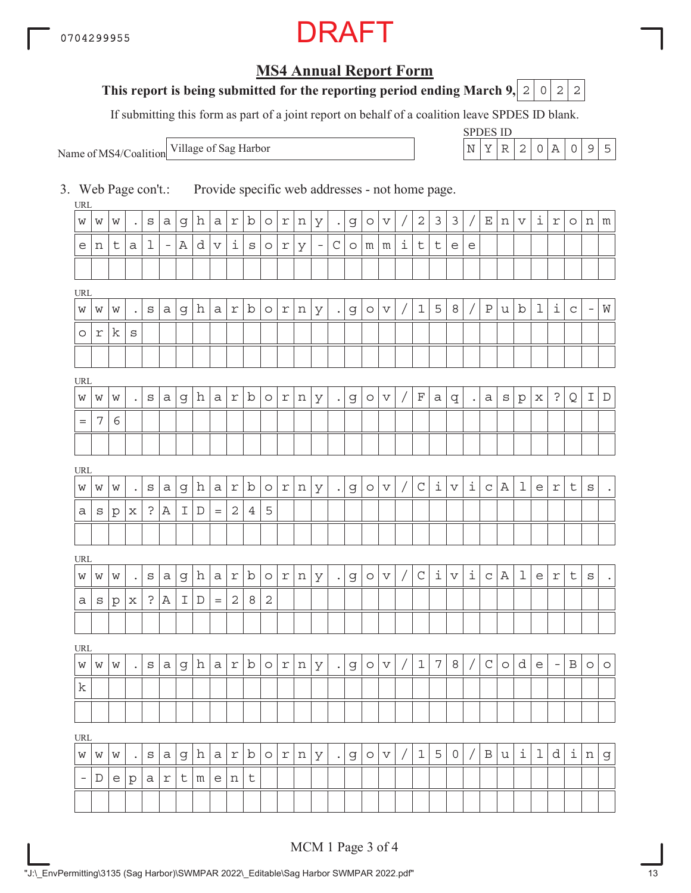## RAFT

## **MS4 Annual Report Form**

### **This report is being submitted for the reporting period ending March 9, 2 0 2 2**

If submitting this form as part of a joint report on behalf of a coalition leave SPDES ID blank.

Name of MS4/Coalition

SPDES ID Village of Sag Harbor  $\vert N \vert Y \vert R \vert 2 \vert 0 \vert A \vert 0$  | 9 | 5

3. Web Page con't.: Provide specific web addresses - not home page.

| URL                      |         |              |                      |              |                          |   |   |                       |              |             |            |            |   |                          |             |         |            |                           |            |              |                     |             |                     |              |             |              |             |                          |             |                          |                      |
|--------------------------|---------|--------------|----------------------|--------------|--------------------------|---|---|-----------------------|--------------|-------------|------------|------------|---|--------------------------|-------------|---------|------------|---------------------------|------------|--------------|---------------------|-------------|---------------------|--------------|-------------|--------------|-------------|--------------------------|-------------|--------------------------|----------------------|
| W                        | W       | W            | $\bullet$            | S            | а                        | g | h | $a \mid$              | $\Upsilon$   | $\mathbf b$ | $\circ$    | r          | n | У                        | $\bullet$   | g       | $\circ$    | $\boldsymbol{\nabla}$     |            | $\mathbf{2}$ | 3                   | 3           |                     | Ε            | n           | V            | i           | r                        | $\circ$     | n                        | m                    |
| e                        | n       | t            | a                    | 1            | $\overline{\phantom{a}}$ | Α | d | $\boldsymbol{\nabla}$ | i            | S           | $\circ$    | r          | У | $\overline{\phantom{a}}$ | $\mathsf C$ | $\circ$ | $m \mid m$ |                           | i          | t            | t                   | e           | e                   |              |             |              |             |                          |             |                          |                      |
|                          |         |              |                      |              |                          |   |   |                       |              |             |            |            |   |                          |             |         |            |                           |            |              |                     |             |                     |              |             |              |             |                          |             |                          |                      |
| URL                      |         |              |                      |              |                          |   |   |                       |              |             |            |            |   |                          |             |         |            |                           |            |              |                     |             |                     |              |             |              |             |                          |             |                          |                      |
| W                        | W       | W            | $\bullet$            | $\rm s$      | а                        | g | h | a                     | r            | b           | $\circ$    | $\Upsilon$ | n | У                        | $\bullet$   | g       | $\circ$    | $\boldsymbol{\nabla}$     |            | $\mathbf 1$  | 5                   | 8           |                     | $\, {\bf P}$ | u           | $\mathbf b$  | $\mathbf 1$ | i                        | $\mathsf C$ | $\overline{\phantom{a}}$ | ${\rm W}$            |
| $\circ$                  | r       | k            | $\mathtt{s}$         |              |                          |   |   |                       |              |             |            |            |   |                          |             |         |            |                           |            |              |                     |             |                     |              |             |              |             |                          |             |                          |                      |
|                          |         |              |                      |              |                          |   |   |                       |              |             |            |            |   |                          |             |         |            |                           |            |              |                     |             |                     |              |             |              |             |                          |             |                          |                      |
| URL                      |         |              |                      |              |                          |   |   |                       |              |             |            |            |   |                          |             |         |            |                           |            |              |                     |             |                     |              |             |              |             |                          |             |                          |                      |
| W                        | W       | W            | $\ddot{\phantom{0}}$ | $\mathtt{s}$ | a                        | g | h | a <sub>l</sub>        | r            | b           | $\circ$    | r          | n | У                        | $\bullet$   | g       | $\circ$    | $\boldsymbol{\nabla}$     |            | $\mathbf F$  | а                   | q           | $\bullet$           | а            | S           | $\mathbf{p}$ | х           | $\ddot{\cdot}$           | Q           | Ι                        | $\mathbb D$          |
| $=$                      | 7       | 6            |                      |              |                          |   |   |                       |              |             |            |            |   |                          |             |         |            |                           |            |              |                     |             |                     |              |             |              |             |                          |             |                          |                      |
|                          |         |              |                      |              |                          |   |   |                       |              |             |            |            |   |                          |             |         |            |                           |            |              |                     |             |                     |              |             |              |             |                          |             |                          |                      |
| URL                      |         |              |                      |              |                          |   |   |                       |              |             |            |            |   |                          |             |         |            |                           |            |              |                     |             |                     |              |             |              |             |                          |             |                          |                      |
| W                        | W       | W            |                      | $\rm s$      | а                        | g | h | а                     | r            | b           | $\circ$    | r          | n | У                        | $\bullet$   | g       | $\circ$    | $\boldsymbol{\mathrm{v}}$ |            | $\mathsf C$  | i                   | $\mathbf v$ | i                   | $\mathsf C$  | Α           | $\mathbf 1$  | e           | $\Upsilon$               | $\mathsf t$ | $\rm s$                  | $\ddot{\phantom{0}}$ |
| а                        | $\rm s$ | $\mathbf{p}$ | х                    | $\mathbf{S}$ | Α                        | I | D | $=$                   | $\sqrt{2}$   | 4           | 5          |            |   |                          |             |         |            |                           |            |              |                     |             |                     |              |             |              |             |                          |             |                          |                      |
|                          |         |              |                      |              |                          |   |   |                       |              |             |            |            |   |                          |             |         |            |                           |            |              |                     |             |                     |              |             |              |             |                          |             |                          |                      |
| URL                      |         |              |                      |              |                          |   |   |                       |              |             |            |            |   |                          |             |         |            |                           |            |              |                     |             |                     |              |             |              |             |                          |             |                          |                      |
| W                        | W       | W            | $\bullet$            | S            | а                        | g | h | a                     | r            | b           | $\circ$    | r          | n | У                        | $\bullet$   | g       | $\circ$    | $\boldsymbol{\nabla}$     | $\sqrt{ }$ | $\mathsf C$  | $\dot{\mathbbm{1}}$ | $\mathbf v$ | $\dot{\mathbbm{1}}$ | $\mathsf C$  | $\mathbb A$ | $\mathbf 1$  | e           | $\Upsilon$               | $\sf t$     | $\mathtt{s}$             | $\ddot{\phantom{0}}$ |
| а                        | S       | $\mathbf{p}$ | х                    | $\mathbf{S}$ | Α                        | I | D | $=$                   | $\mathbf{2}$ | 8           | $\sqrt{2}$ |            |   |                          |             |         |            |                           |            |              |                     |             |                     |              |             |              |             |                          |             |                          |                      |
|                          |         |              |                      |              |                          |   |   |                       |              |             |            |            |   |                          |             |         |            |                           |            |              |                     |             |                     |              |             |              |             |                          |             |                          |                      |
| URL                      |         |              |                      |              |                          |   |   |                       |              |             |            |            |   |                          |             |         |            |                           |            |              |                     |             |                     |              |             |              |             |                          |             |                          |                      |
| W                        | W       | W            | $\ddot{\phantom{0}}$ | S            | а                        | g | h | a                     | r            | b           | $\circ$    | r          | n | У                        | $\bullet$   | g       | $\circ$    | $\boldsymbol{\nabla}$     |            | $1\,$        | $\overline{7}$      | 8           |                     | $\mathsf C$  | $\circ$     | d            | e           | $\overline{\phantom{a}}$ | Β           | $\circlearrowright$      | $\circ$              |
| k                        |         |              |                      |              |                          |   |   |                       |              |             |            |            |   |                          |             |         |            |                           |            |              |                     |             |                     |              |             |              |             |                          |             |                          |                      |
|                          |         |              |                      |              |                          |   |   |                       |              |             |            |            |   |                          |             |         |            |                           |            |              |                     |             |                     |              |             |              |             |                          |             |                          |                      |
| <b>URL</b>               |         |              |                      |              |                          |   |   |                       |              |             |            |            |   |                          |             |         |            |                           |            |              |                     |             |                     |              |             |              |             |                          |             |                          |                      |
| W                        | W       | W            | $\bullet$            | $\rm s$      | а                        | g | h | a                     | $\Upsilon$   | b           | $\circ$    | $\Upsilon$ | n | У                        | $\bullet$   | g       | $\circ$    | $\boldsymbol{\mathrm{v}}$ |            | $\mathbf 1$  | 5                   | 0           |                     | $\, {\bf B}$ | u           | i            | 1           | d                        | i           | n                        | $\mathsf d$          |
| $\overline{\phantom{a}}$ | D       | e            | $\mathbf{p}$         | а            | r                        | t | m | e <sub>1</sub>        | n            | $\sf t$     |            |            |   |                          |             |         |            |                           |            |              |                     |             |                     |              |             |              |             |                          |             |                          |                      |
|                          |         |              |                      |              |                          |   |   |                       |              |             |            |            |   |                          |             |         |            |                           |            |              |                     |             |                     |              |             |              |             |                          |             |                          |                      |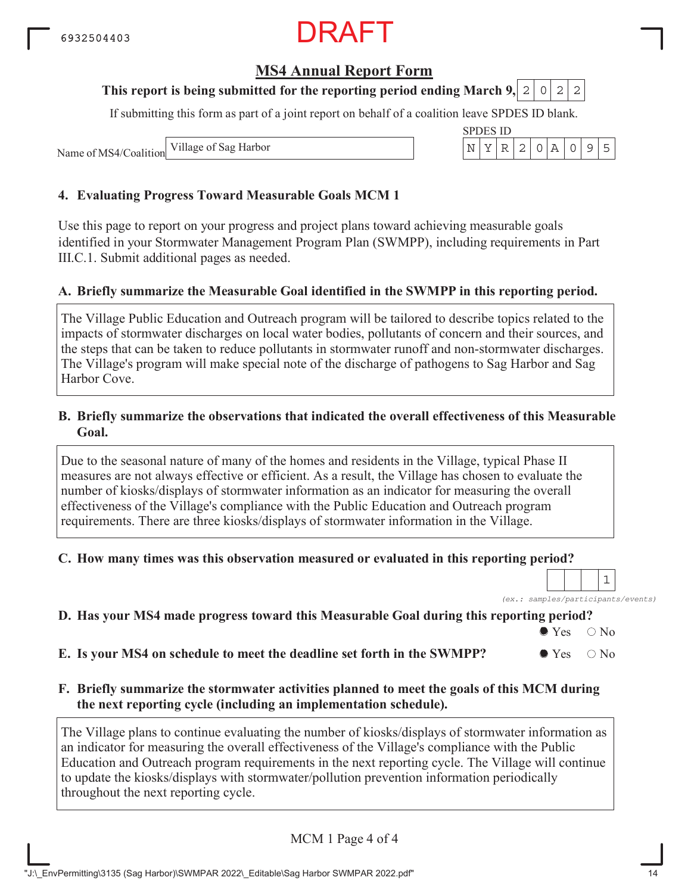### **MS4 Annual Report Form**

#### **This report is being submitted for the reporting period ending March 9,**  $0|2|2$

If submitting this form as part of a joint report on behalf of a coalition leave SPDES ID blank.

Name of MS4/Coalition Village of Sag Harbor

#### **4. Evaluating Progress Toward Measurable Goals MCM 1**

Use this page to report on your progress and project plans toward achieving measurable goals identified in your Stormwater Management Program Plan (SWMPP), including requirements in Part III.C.1. Submit additional pages as needed.

#### **A. Briefly summarize the Measurable Goal identified in the SWMPP in this reporting period.**

The Village Public Education and Outreach program will be tailored to describe topics related to the impacts of stormwater discharges on local water bodies, pollutants of concern and their sources, and the steps that can be taken to reduce pollutants in stormwater runoff and non-stormwater discharges. The Village's program will make special note of the discharge of pathogens to Sag Harbor and Sag Harbor Cove.

#### **B. Briefly summarize the observations that indicated the overall effectiveness of this Measurable Goal.**

Due to the seasonal nature of many of the homes and residents in the Village, typical Phase II measures are not always effective or efficient. As a result, the Village has chosen to evaluate the number of kiosks/displays of stormwater information as an indicator for measuring the overall effectiveness of the Village's compliance with the Public Education and Outreach program requirements. There are three kiosks/displays of stormwater information in the Village.

#### **C. How many times was this observation measured or evaluated in this reporting period?**

*(ex.: samples/participants/events)* 1

#### **D. Has your MS4 made progress toward this Measurable Goal during this reporting period?**

 $\bullet$  Yes  $\circ$  No

**E.** Is your MS4 on schedule to meet the deadline set forth in the SWMPP?  $\bullet$  Yes  $\circ$  No

#### **F. Briefly summarize the stormwater activities planned to meet the goals of this MCM during the next reporting cycle (including an implementation schedule).**

The Village plans to continue evaluating the number of kiosks/displays of stormwater information as an indicator for measuring the overall effectiveness of the Village's compliance with the Public Education and Outreach program requirements in the next reporting cycle. The Village will continue to update the kiosks/displays with stormwater/pollution prevention information periodically throughout the next reporting cycle.

| MCM 1 Page 4 of 4 |
|-------------------|
|                   |

|  | SPDES ID |  |  |  |  |
|--|----------|--|--|--|--|
|  |          |  |  |  |  |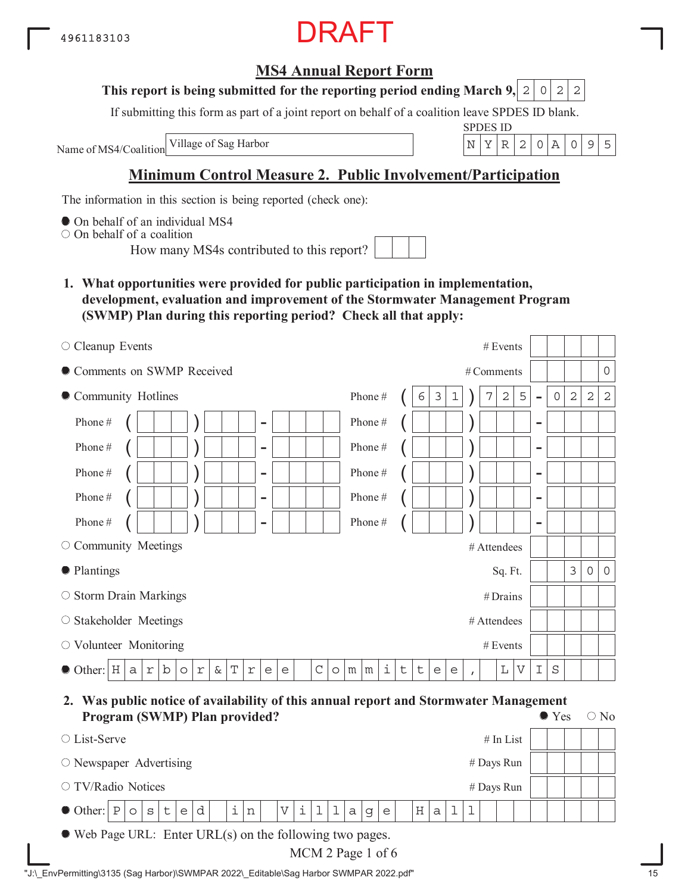## **MS4 Annual Report Form**

#### **This report is being submitted for the reporting period ending March 9, 2 0 2 2**

If submitting this form as part of a joint report on behalf of a coalition leave SPDES ID blank.

Name of MS4/Coalition

SPDES ID Village of Sag Harbor  $\vert N \vert Y \vert R \vert 2 \vert 0 \vert A \vert 0 \vert 9 \vert 5$ 

## **Minimum Control Measure 2. Public Involvement/Participation**

The information in this section is being reported (check one):

 $\bullet$  On behalf of an individual MS4

On behalf of a coalition

How many MS4s contributed to this report?

**1. What opportunities were provided for public participation in implementation, development, evaluation and improvement of the Stormwater Management Program (SWMP) Plan during this reporting period? Check all that apply:**

| $\circ$ Cleanup Events                                                                                         |                                       | # Events               |                          |             |                |                     |                |
|----------------------------------------------------------------------------------------------------------------|---------------------------------------|------------------------|--------------------------|-------------|----------------|---------------------|----------------|
| Comments on SWMP Received                                                                                      |                                       | # Comments             |                          |             |                |                     | $\overline{0}$ |
| • Community Hotlines                                                                                           | Phone#<br>3<br>6<br>1                 | 5<br>$\mathbf 2$<br>7  | $\overline{\phantom{a}}$ | $\mathbf 0$ | $\overline{2}$ | $\overline{2}$      | $\overline{c}$ |
| Phone#<br>$\overline{\phantom{a}}$                                                                             | Phone#                                |                        | $\qquad \qquad$          |             |                |                     |                |
| Phone#<br>$\overline{\phantom{a}}$                                                                             | Phone#                                |                        | $\overline{\phantom{0}}$ |             |                |                     |                |
| Phone#<br>$\overline{\phantom{a}}$                                                                             | Phone#                                |                        | $\overline{\phantom{0}}$ |             |                |                     |                |
| Phone#<br>$\overline{\phantom{a}}$                                                                             | Phone#                                |                        | $\overline{\phantom{0}}$ |             |                |                     |                |
| Phone#<br>$\overline{\phantom{0}}$                                                                             | Phone#                                |                        | $\overline{\phantom{0}}$ |             |                |                     |                |
| $\circ$ Community Meetings                                                                                     |                                       | # Attendees            |                          |             |                |                     |                |
| • Plantings                                                                                                    |                                       | Sq. Ft.                |                          |             | $\mathfrak{Z}$ | $\mathsf{O}\xspace$ | $\circ$        |
| $\circ$ Storm Drain Markings                                                                                   |                                       | #Drains                |                          |             |                |                     |                |
| ○ Stakeholder Meetings                                                                                         |                                       | # Attendees            |                          |             |                |                     |                |
| $\circ$ Volunteer Monitoring                                                                                   |                                       | # Events               |                          |             |                |                     |                |
| b<br>Т<br>C<br>$\bullet$ Other: $\vert$ H<br>$\&$<br>a<br>r<br>$\Upsilon$<br>r<br>e<br>$\circ$<br>$\circ$<br>e | i<br>$\sf t$<br>t<br>m<br>m<br>e<br>e | L<br>V<br>$\mathbf{r}$ | I                        | $\rm S$     |                |                     |                |

**2. Was public notice of availability of this annual report and Stormwater Management Program (SWMP) Plan provided?**  $\bullet$  Yes  $\circ$  No

| $2.10$ and $\sqrt{2}$ is the state prostruction                                                                                                                                         |  |
|-----------------------------------------------------------------------------------------------------------------------------------------------------------------------------------------|--|
| $#$ In List<br>$\circ$ List-Serve                                                                                                                                                       |  |
| $\circ$ Newspaper Advertising<br># Days Run                                                                                                                                             |  |
| $\circ$ TV/Radio Notices<br># Days Run                                                                                                                                                  |  |
| $\bullet$ Other: $ P _0  S _t  $<br>$\mathbf{1}$<br>$\pm$  <br>$\mathbf{i}$<br>$\mathbf{d}$<br>$\, {\rm n}$<br>e<br>$\mathbf V$<br>H <sub>1</sub><br>a<br>$\mathsf{a}$<br>e<br>$\alpha$ |  |
| $\bullet$ Web Page URL: Enter URL(s) on the following two pages.                                                                                                                        |  |

MCM 2 Page 1 of 6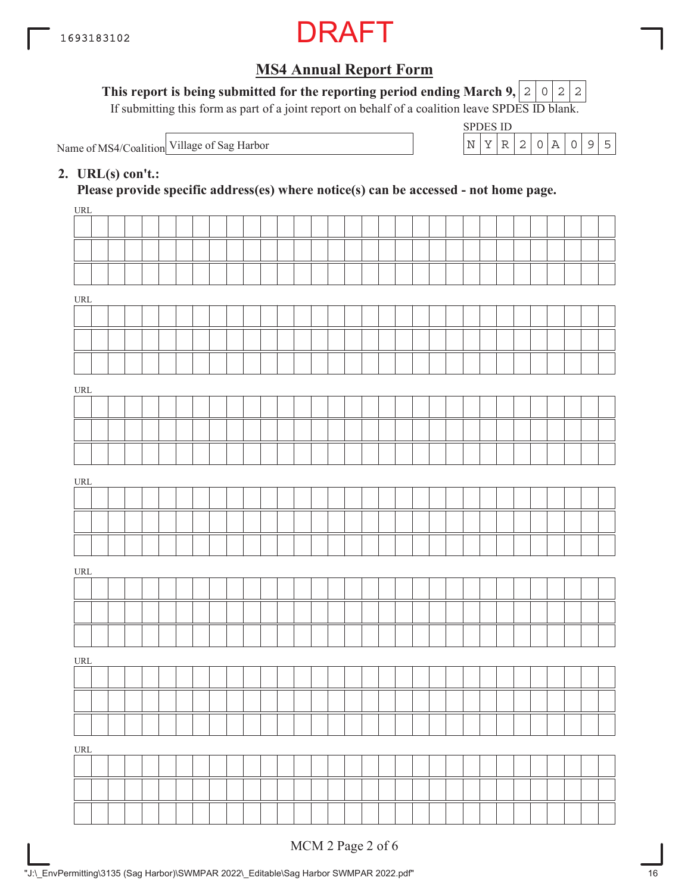

This report is being submitted for the reporting period ending March 9,  $\mid$  2  $\mid$  0  $\mid$  2  $\mid$  2

If submitting this form as part of a joint report on behalf of a coalition leave SPDES ID blank.

Name of MS4/Coalition Village of Sag Harbor  $N = \begin{bmatrix} N & Y & R & 2 & 0 & A & 0 & 9 & 5 \end{bmatrix}$ 

| SPDES 11) |  |  |  |  |
|-----------|--|--|--|--|
|           |  |  |  |  |

#### **2. URL(s) con't.:**

**Please provide specific address(es) where notice(s) can be accessed - not home page.**

| $\underline{\text{URL}}$           |  |  |  |  |  |  |  |  |  |  |  |  |  |  |  |  |
|------------------------------------|--|--|--|--|--|--|--|--|--|--|--|--|--|--|--|--|
|                                    |  |  |  |  |  |  |  |  |  |  |  |  |  |  |  |  |
|                                    |  |  |  |  |  |  |  |  |  |  |  |  |  |  |  |  |
|                                    |  |  |  |  |  |  |  |  |  |  |  |  |  |  |  |  |
| $\ensuremath{\mathsf{URL}}\xspace$ |  |  |  |  |  |  |  |  |  |  |  |  |  |  |  |  |
|                                    |  |  |  |  |  |  |  |  |  |  |  |  |  |  |  |  |
|                                    |  |  |  |  |  |  |  |  |  |  |  |  |  |  |  |  |
|                                    |  |  |  |  |  |  |  |  |  |  |  |  |  |  |  |  |
|                                    |  |  |  |  |  |  |  |  |  |  |  |  |  |  |  |  |
| $\ensuremath{\mathsf{URL}}\xspace$ |  |  |  |  |  |  |  |  |  |  |  |  |  |  |  |  |
|                                    |  |  |  |  |  |  |  |  |  |  |  |  |  |  |  |  |
|                                    |  |  |  |  |  |  |  |  |  |  |  |  |  |  |  |  |
|                                    |  |  |  |  |  |  |  |  |  |  |  |  |  |  |  |  |
| $\ensuremath{\mathsf{URL}}\xspace$ |  |  |  |  |  |  |  |  |  |  |  |  |  |  |  |  |
|                                    |  |  |  |  |  |  |  |  |  |  |  |  |  |  |  |  |
|                                    |  |  |  |  |  |  |  |  |  |  |  |  |  |  |  |  |
|                                    |  |  |  |  |  |  |  |  |  |  |  |  |  |  |  |  |
| $\ensuremath{\mathsf{URL}}\xspace$ |  |  |  |  |  |  |  |  |  |  |  |  |  |  |  |  |
|                                    |  |  |  |  |  |  |  |  |  |  |  |  |  |  |  |  |
|                                    |  |  |  |  |  |  |  |  |  |  |  |  |  |  |  |  |
|                                    |  |  |  |  |  |  |  |  |  |  |  |  |  |  |  |  |
| $\ensuremath{\mathsf{URL}}\xspace$ |  |  |  |  |  |  |  |  |  |  |  |  |  |  |  |  |
|                                    |  |  |  |  |  |  |  |  |  |  |  |  |  |  |  |  |
|                                    |  |  |  |  |  |  |  |  |  |  |  |  |  |  |  |  |
|                                    |  |  |  |  |  |  |  |  |  |  |  |  |  |  |  |  |
| $\ensuremath{\mathsf{URL}}\xspace$ |  |  |  |  |  |  |  |  |  |  |  |  |  |  |  |  |
|                                    |  |  |  |  |  |  |  |  |  |  |  |  |  |  |  |  |
|                                    |  |  |  |  |  |  |  |  |  |  |  |  |  |  |  |  |
|                                    |  |  |  |  |  |  |  |  |  |  |  |  |  |  |  |  |
|                                    |  |  |  |  |  |  |  |  |  |  |  |  |  |  |  |  |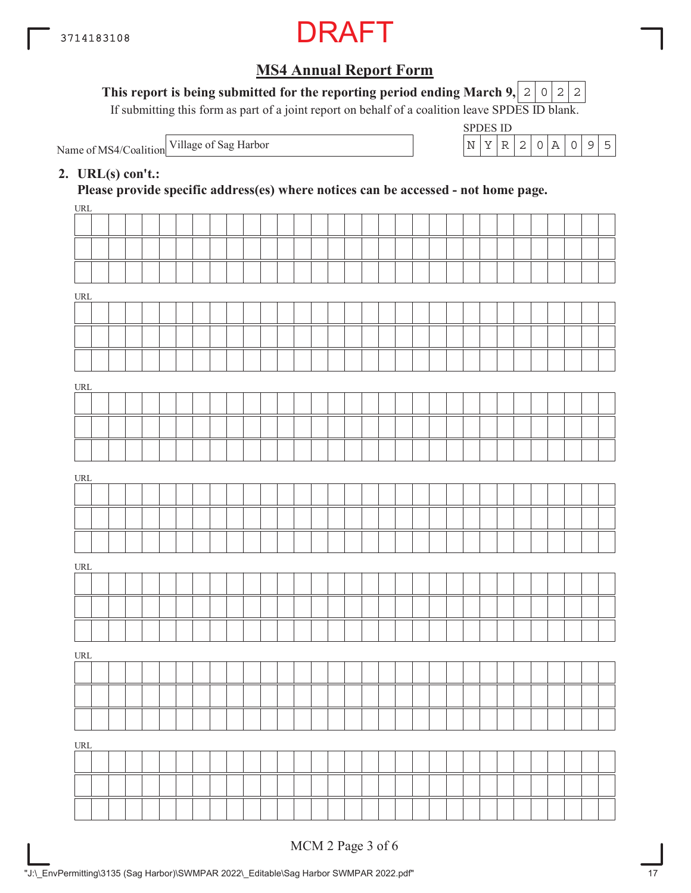

#### This report is being submitted for the reporting period ending March 9,  $|2|0|2|2$

If submitting this form as part of a joint report on behalf of a coalition leave SPDES ID blank.

Name of MS4/Coalition

SPDES ID Village of Sag Harbor  $\vert N \vert Y \vert R \vert 2 \vert 0 \vert A \vert 0$  9 5

#### **2. URL(s) con't.:**

**Please provide specific address(es) where notices can be accessed - not home page.**

| URL                              |  |  |  |  |  |  |  |  |  |  |  |  |  |  |  |  |
|----------------------------------|--|--|--|--|--|--|--|--|--|--|--|--|--|--|--|--|
|                                  |  |  |  |  |  |  |  |  |  |  |  |  |  |  |  |  |
|                                  |  |  |  |  |  |  |  |  |  |  |  |  |  |  |  |  |
|                                  |  |  |  |  |  |  |  |  |  |  |  |  |  |  |  |  |
| URL                              |  |  |  |  |  |  |  |  |  |  |  |  |  |  |  |  |
|                                  |  |  |  |  |  |  |  |  |  |  |  |  |  |  |  |  |
|                                  |  |  |  |  |  |  |  |  |  |  |  |  |  |  |  |  |
|                                  |  |  |  |  |  |  |  |  |  |  |  |  |  |  |  |  |
|                                  |  |  |  |  |  |  |  |  |  |  |  |  |  |  |  |  |
| URL                              |  |  |  |  |  |  |  |  |  |  |  |  |  |  |  |  |
|                                  |  |  |  |  |  |  |  |  |  |  |  |  |  |  |  |  |
|                                  |  |  |  |  |  |  |  |  |  |  |  |  |  |  |  |  |
|                                  |  |  |  |  |  |  |  |  |  |  |  |  |  |  |  |  |
| URL                              |  |  |  |  |  |  |  |  |  |  |  |  |  |  |  |  |
|                                  |  |  |  |  |  |  |  |  |  |  |  |  |  |  |  |  |
|                                  |  |  |  |  |  |  |  |  |  |  |  |  |  |  |  |  |
|                                  |  |  |  |  |  |  |  |  |  |  |  |  |  |  |  |  |
|                                  |  |  |  |  |  |  |  |  |  |  |  |  |  |  |  |  |
| URL                              |  |  |  |  |  |  |  |  |  |  |  |  |  |  |  |  |
|                                  |  |  |  |  |  |  |  |  |  |  |  |  |  |  |  |  |
|                                  |  |  |  |  |  |  |  |  |  |  |  |  |  |  |  |  |
|                                  |  |  |  |  |  |  |  |  |  |  |  |  |  |  |  |  |
| $\ensuremath{\text{URL}}\xspace$ |  |  |  |  |  |  |  |  |  |  |  |  |  |  |  |  |
|                                  |  |  |  |  |  |  |  |  |  |  |  |  |  |  |  |  |
|                                  |  |  |  |  |  |  |  |  |  |  |  |  |  |  |  |  |
|                                  |  |  |  |  |  |  |  |  |  |  |  |  |  |  |  |  |
| $\underline{\text{URL}}$         |  |  |  |  |  |  |  |  |  |  |  |  |  |  |  |  |
|                                  |  |  |  |  |  |  |  |  |  |  |  |  |  |  |  |  |
|                                  |  |  |  |  |  |  |  |  |  |  |  |  |  |  |  |  |
|                                  |  |  |  |  |  |  |  |  |  |  |  |  |  |  |  |  |
|                                  |  |  |  |  |  |  |  |  |  |  |  |  |  |  |  |  |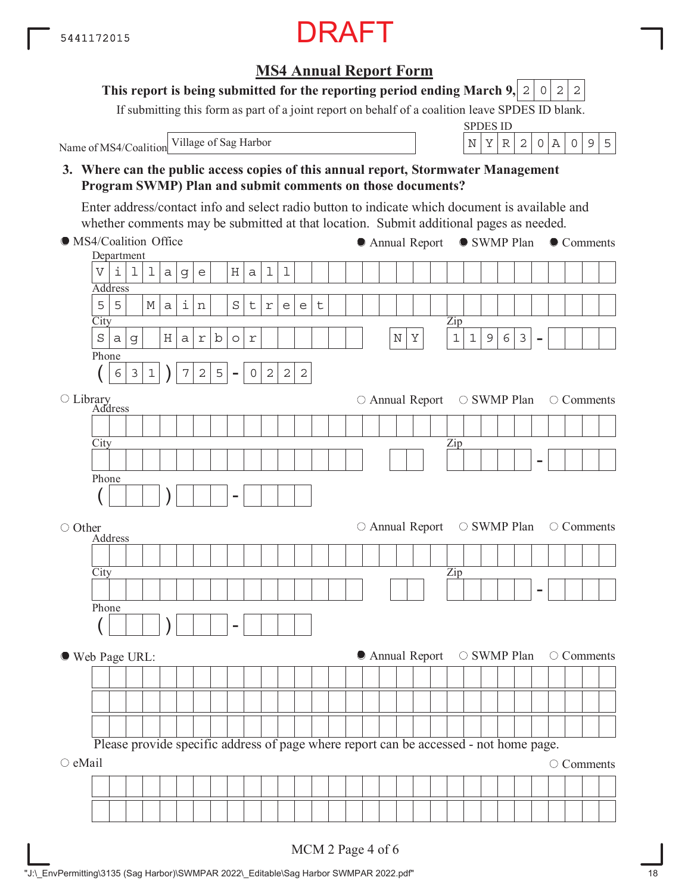**MS4 Annual Report Form**

If submitting this form as part of a joint report on behalf of a coalition leave SPDES ID blank.

Name of MS4/Coalition Village of Sag Harbor  $|N|Y|R|2|0|A|095$ 

**This report is being submitted for the reporting period ending March 9,**

SPDES ID

 $0|2|2$ 

## **3. Where can the public access copies of this annual report, Stormwater Management Program SWMP) Plan and submit comments on those documents? City** Department Address Zip - Phone  $(| 6 3 1 | ) 7 2 5 -$ **City** Address Library Zip - Phone ( ) - **City** Address Zip - Phone ( ) - MS4/Coalition Office ○ Other Web Page URL:  $\circ$  eMail Please provide specific address of page where report can be accessed - not home page. ● Annual Report ● SWMP Plan ● Comments  $\circ$  Annual Report  $\circ$  SWMP Plan  $\circ$  Comments  $\circ$  Annual Report  $\circ$  SWMP Plan  $\circ$  Comments  $\bullet$  Annual Report  $\circ$  SWMP Plan  $\circ$  Comments O Comments Enter address/contact info and select radio button to indicate which document is available and whether comments may be submitted at that location. Submit additional pages as needed.  $V|i|1|1|a|g|e|$  |H|a|1|1  $5|5|$   $|M|a|i|n|$   $|S|t|r|e|e|t$ Sag Harbor NY 11963  $6|3|1|$   $|7|2|5| - 0|2|2|2$

#### MCM 2 Page 4 of 6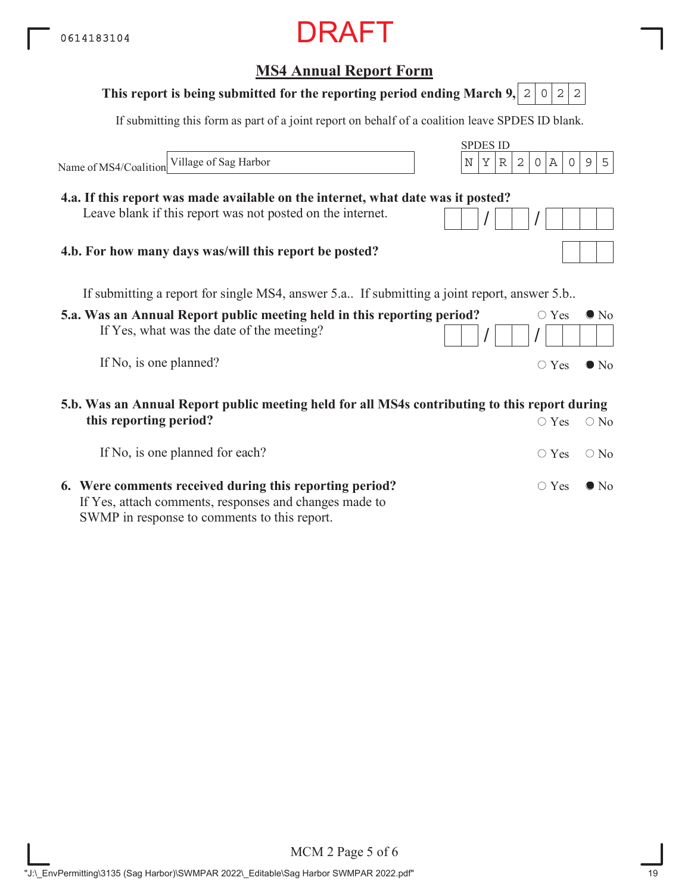## **5.a. Was an Annual Report public meeting held in this reporting period?** If Yes, what was the date of the meeting? If No, is one planned? **MS4 Annual Report Form** SPDES ID If submitting this form as part of a joint report on behalf of a coalition leave SPDES ID blank. Name of MS4/Coalition  $\circ$  Yes  $\bullet$  No  $/$   $/$   $/$  $\circ$  Yes  $\bullet$  No If submitting a report for single MS4, answer 5.a.. If submitting a joint report, answer 5.b.. **5.b. Was an Annual Report public meeting held for all MS4s contributing to this report during This report is being submitted for the reporting period ending March 9, 2 0 2 2 4.a. If this report was made available on the internet, what date was it posted?** Leave blank if this report was not posted on the internet. **4.b. For how many days was/will this report be posted?** Village of Sag Harbor  $\vert N \vert Y \vert R \vert 2 \vert 0 \vert A \vert 0 \vert 9 \vert 5$

| this reporting period?                                                                                 | $\circ$ Yes $\circ$ No       |  |
|--------------------------------------------------------------------------------------------------------|------------------------------|--|
| If No, is one planned for each?                                                                        | $\bigcirc$ Yes $\bigcirc$ No |  |
| 6. Were comments received during this reporting period?                                                | $\bigcirc$ Yes $\bigcirc$ No |  |
| If Yes, attach comments, responses and changes made to<br>SWMP in response to comments to this report. |                              |  |

MCM 2 Page 5 of 6 "J:\\_EnvPermitting\3135 (Sag Harbor)\SWMPAR 2022\\_Editable\Sag Harbor SWMPAR 2022.pdf" 19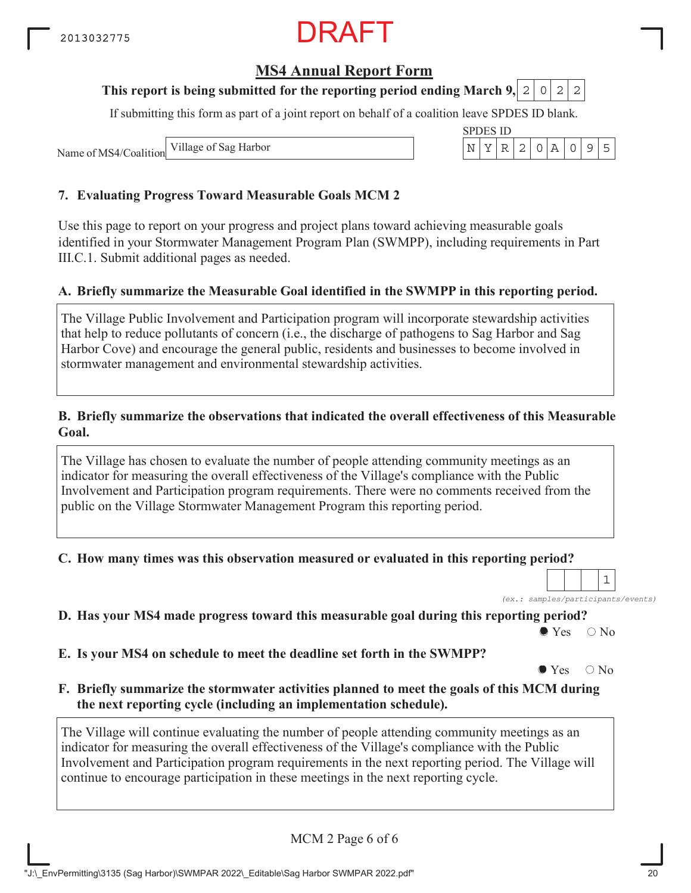## **MS4 Annual Report Form**

#### **This report is being submitted for the reporting period ending March 9, 2 0 2 2**

If submitting this form as part of a joint report on behalf of a coalition leave SPDES ID blank.

Name of MS4/Coalition Village of Sag Harbor

#### **7. Evaluating Progress Toward Measurable Goals MCM 2**

Use this page to report on your progress and project plans toward achieving measurable goals identified in your Stormwater Management Program Plan (SWMPP), including requirements in Part III.C.1. Submit additional pages as needed.

#### **A. Briefly summarize the Measurable Goal identified in the SWMPP in this reporting period.**

The Village Public Involvement and Participation program will incorporate stewardship activities that help to reduce pollutants of concern (i.e., the discharge of pathogens to Sag Harbor and Sag Harbor Cove) and encourage the general public, residents and businesses to become involved in stormwater management and environmental stewardship activities.

#### **B. Briefly summarize the observations that indicated the overall effectiveness of this Measurable Goal.**

The Village has chosen to evaluate the number of people attending community meetings as an indicator for measuring the overall effectiveness of the Village's compliance with the Public Involvement and Participation program requirements. There were no comments received from the public on the Village Stormwater Management Program this reporting period.

#### **C. How many times was this observation measured or evaluated in this reporting period?**

*(ex.: samples/participants/events)*

1

**D. Has your MS4 made progress toward this measurable goal during this reporting period?**

 $\bullet$  Yes  $\circ$  No

**E. Is your MS4 on schedule to meet the deadline set forth in the SWMPP?**

 $\bullet$  Yes  $\circ$  No

**F. Briefly summarize the stormwater activities planned to meet the goals of this MCM during the next reporting cycle (including an implementation schedule).**

The Village will continue evaluating the number of people attending community meetings as an indicator for measuring the overall effectiveness of the Village's compliance with the Public Involvement and Participation program requirements in the next reporting period. The Village will continue to encourage participation in these meetings in the next reporting cycle.

MCM 2 Page 6 of 6

|  | SPDES ID |  |  |  |  |
|--|----------|--|--|--|--|
|  |          |  |  |  |  |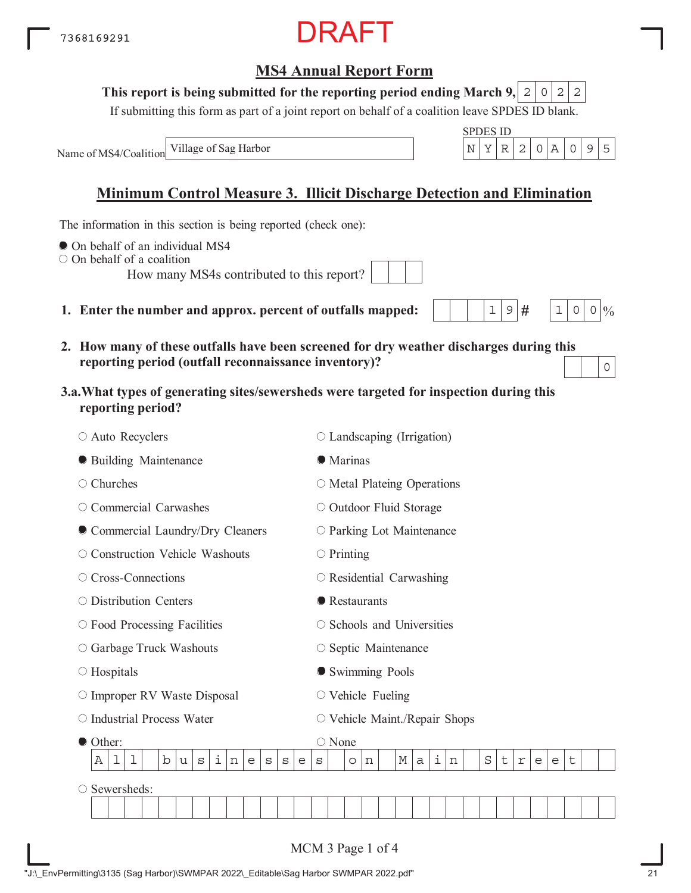## MCM 3 Page 1 of 4

## **MS4 Annual Report Form**

DRAFT

#### **This report is being submitted for the reporting period ending March 9,**  $0|2|2$

If submitting this form as part of a joint report on behalf of a coalition leave SPDES ID blank.

Name of MS4/Coalition

## **Minimum Control Measure 3. Illicit Discharge Detection and Elimination**

The information in this section is being reported (check one):

- $\bullet$  On behalf of an individual MS4
- On behalf of a coalition
	- How many MS4s contributed to this report?
- 1. Enter the number and approx. percent of outfalls map
- **2. How many of these outfalls have been screened for dry weather discharges during this reporting period (outfall reconnaissance inventory)?**
- **3.a.What types of generating sites/sewersheds were targeted for inspection during this reporting period?**

| ○ Auto Recyclers                                         | $\circ$ Landscaping (Irrigation)                                                                   |
|----------------------------------------------------------|----------------------------------------------------------------------------------------------------|
| <b>• Building Maintenance</b>                            | <b>•</b> Marinas                                                                                   |
| $\circ$ Churches                                         | $\circ$ Metal Plateing Operations                                                                  |
| $\circ$ Commercial Carwashes                             | O Outdoor Fluid Storage                                                                            |
| Commercial Laundry/Dry Cleaners                          | O Parking Lot Maintenance                                                                          |
| O Construction Vehicle Washouts                          | $\circ$ Printing                                                                                   |
| ○ Cross-Connections                                      | $\circ$ Residential Carwashing                                                                     |
| ○ Distribution Centers                                   | • Restaurants                                                                                      |
| O Food Processing Facilities                             | ○ Schools and Universities                                                                         |
| ○ Garbage Truck Washouts                                 | ○ Septic Maintenance                                                                               |
| $\circ$ Hospitals                                        | Swimming Pools                                                                                     |
| O Improper RV Waste Disposal                             | $\circ$ Vehicle Fueling                                                                            |
| ○ Industrial Process Water                               | ○ Vehicle Maint./Repair Shops                                                                      |
| Other:                                                   | $\bigcirc$ None                                                                                    |
| i<br>b<br>1<br>ı<br>Α<br>u<br>S<br>n<br>е<br>S<br>S<br>e | i<br>$\rm S$<br>$\mathsf t$<br>М<br>t<br>$\Upsilon$<br>a<br>n<br>e<br>$\rm s$<br>e<br>$\circ$<br>n |
| Sewersheds:<br>O                                         |                                                                                                    |
|                                                          |                                                                                                    |
|                                                          | MCM 3 Page 1 of 4                                                                                  |



7368169291



 $9 H$ 

| ped: |  |  |
|------|--|--|
|      |  |  |

0

 $1 \, | \, 0 \, | \, 0 \, | \, 0$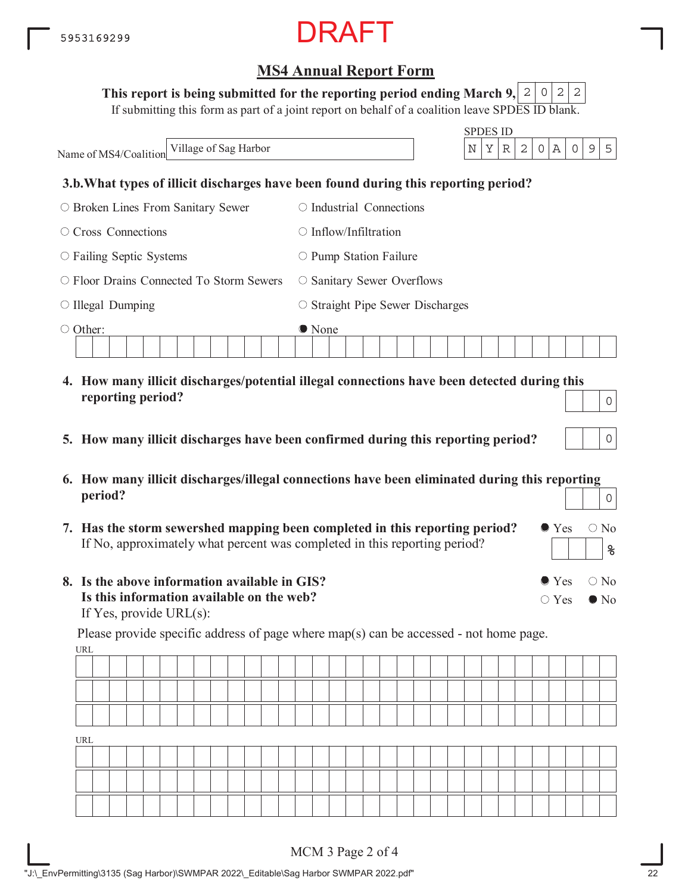#### This report is being submitted for the reporting period ending March 9,  $\mid$  2  $\mid$  0  $\mid$  2  $\mid$  2

If submitting this form as part of a joint report on behalf of a coalition leave SPDES ID blank.

|                                                | <b>SPDES ID</b>                                                                                       |
|------------------------------------------------|-------------------------------------------------------------------------------------------------------|
| Village of Sag Harbor<br>Name of MS4/Coalition | $\mathbb A$<br>5<br>N<br>Υ<br>2<br>$\mathcal{O}$<br>9<br>R<br>0                                       |
|                                                | 3.b. What types of illicit discharges have been found during this reporting period?                   |
| $\circ$ Broken Lines From Sanitary Sewer       | $\circ$ Industrial Connections                                                                        |
| Cross Connections                              | $\bigcirc$ Inflow/Infiltration                                                                        |
| $\circ$ Failing Septic Systems                 | $\circ$ Pump Station Failure                                                                          |
| Floor Drains Connected To Storm Sewers         | $\circ$ Sanitary Sewer Overflows                                                                      |
| $\circ$ Illegal Dumping                        | $\circ$ Straight Pipe Sewer Discharges                                                                |
| Other:<br>∩                                    | • None<br>4. How many illicit discharges/potential illegal connections have been detected during this |
| reporting period?                              | $\cap$                                                                                                |

- **5. How many illicit discharges have been confirmed during this reporting period?**
- **6. How many illicit discharges/illegal connections have been eliminated during this reporting period?** 0
- **7. Has the storm sewershed mapping been completed in this reporting period?** If No, approximately what percent was completed in this reporting period?
- **8. Is the above information available in GIS? Is this information available on the web?** If Yes, provide URL(s):

URL Please provide specific address of page where map(s) can be accessed - not home page.

| URL |  |  |  |  |  |  |  |  |  |  |  |  |  |  |  |
|-----|--|--|--|--|--|--|--|--|--|--|--|--|--|--|--|
|     |  |  |  |  |  |  |  |  |  |  |  |  |  |  |  |
|     |  |  |  |  |  |  |  |  |  |  |  |  |  |  |  |
|     |  |  |  |  |  |  |  |  |  |  |  |  |  |  |  |

 $\bullet$  Yes  $\circ$  No

 $\bullet$  Yes  $\circ$  No

 $\bigcirc$  Yes  $\bigcirc$  No

**%**

 $|0|$ 

0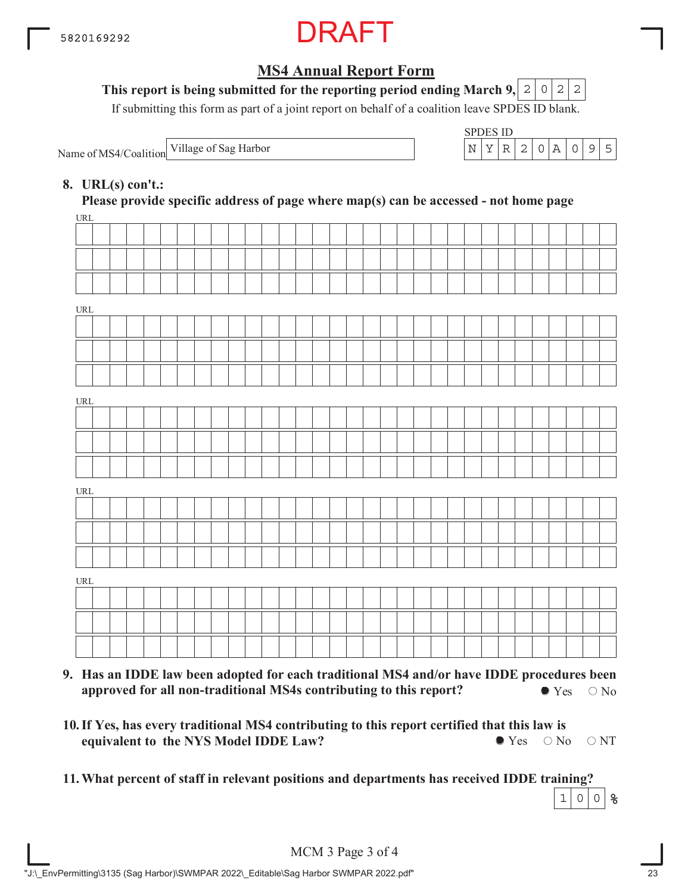

### This report is being submitted for the reporting period ending March 9,  $\mid$  2  $\mid$  0  $\mid$  2  $\mid$  2

If submitting this form as part of a joint report on behalf of a coalition leave SPDES ID blank.

Name of MS4/Coalition Village of Sag Harbor

| SPDES ID |  |      |                  |  |  |
|----------|--|------|------------------|--|--|
|          |  | I 2. | $\left( \right)$ |  |  |

#### **8. URL(s) con't.:**

**Please provide specific address of page where map(s) can be accessed - not home page**

| URL                                |  |  |  |  |  |  |  |  |  |  |  |  |  |  |  |  |
|------------------------------------|--|--|--|--|--|--|--|--|--|--|--|--|--|--|--|--|
|                                    |  |  |  |  |  |  |  |  |  |  |  |  |  |  |  |  |
|                                    |  |  |  |  |  |  |  |  |  |  |  |  |  |  |  |  |
|                                    |  |  |  |  |  |  |  |  |  |  |  |  |  |  |  |  |
| $\ensuremath{\text{URL}}\xspace$   |  |  |  |  |  |  |  |  |  |  |  |  |  |  |  |  |
|                                    |  |  |  |  |  |  |  |  |  |  |  |  |  |  |  |  |
|                                    |  |  |  |  |  |  |  |  |  |  |  |  |  |  |  |  |
|                                    |  |  |  |  |  |  |  |  |  |  |  |  |  |  |  |  |
| URL                                |  |  |  |  |  |  |  |  |  |  |  |  |  |  |  |  |
|                                    |  |  |  |  |  |  |  |  |  |  |  |  |  |  |  |  |
|                                    |  |  |  |  |  |  |  |  |  |  |  |  |  |  |  |  |
|                                    |  |  |  |  |  |  |  |  |  |  |  |  |  |  |  |  |
| $\ensuremath{\text{URL}}\xspace$   |  |  |  |  |  |  |  |  |  |  |  |  |  |  |  |  |
|                                    |  |  |  |  |  |  |  |  |  |  |  |  |  |  |  |  |
|                                    |  |  |  |  |  |  |  |  |  |  |  |  |  |  |  |  |
|                                    |  |  |  |  |  |  |  |  |  |  |  |  |  |  |  |  |
| $\ensuremath{\mathsf{URL}}\xspace$ |  |  |  |  |  |  |  |  |  |  |  |  |  |  |  |  |
|                                    |  |  |  |  |  |  |  |  |  |  |  |  |  |  |  |  |
|                                    |  |  |  |  |  |  |  |  |  |  |  |  |  |  |  |  |
|                                    |  |  |  |  |  |  |  |  |  |  |  |  |  |  |  |  |
|                                    |  |  |  |  |  |  |  |  |  |  |  |  |  |  |  |  |

- **9. Has an IDDE law been adopted for each traditional MS4 and/or have IDDE procedures been approved for all non-traditional MS4s contributing to this report?**  $\bullet$  Yes  $\circ$  No
- **10. If Yes, has every traditional MS4 contributing to this report certified that this law is equivalent to the NYS Model IDDE Law?**  $\bullet$  Yes  $\circ$  No  $\circ$  NT
- **11.What percent of staff in relevant positions and departments has received IDDE training? %**  $1|0|0$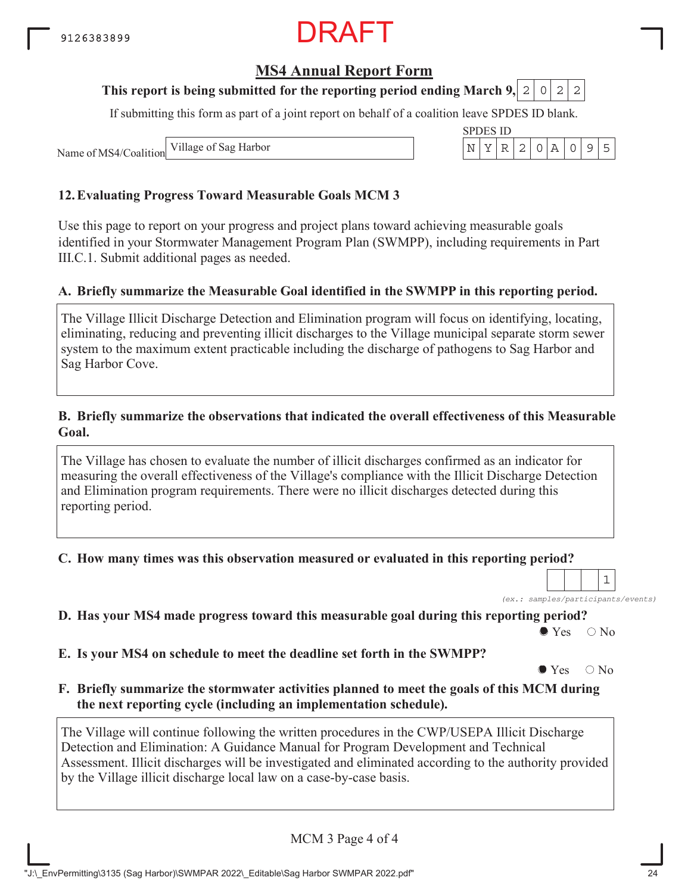## **MS4 Annual Report Form**

#### **This report is being submitted for the reporting period ending March 9, 2 0 2 2**

If submitting this form as part of a joint report on behalf of a coalition leave SPDES ID blank.

SPDES ID

Name of MS4/Coalition Village of Sag Harbor  $\vert N \vert Y \vert R \vert 2 \vert 0 \vert A \vert 0 \vert 9 \vert 5$ 

#### **12.Evaluating Progress Toward Measurable Goals MCM 3**

Use this page to report on your progress and project plans toward achieving measurable goals identified in your Stormwater Management Program Plan (SWMPP), including requirements in Part III.C.1. Submit additional pages as needed.

#### **A. Briefly summarize the Measurable Goal identified in the SWMPP in this reporting period.**

The Village Illicit Discharge Detection and Elimination program will focus on identifying, locating, eliminating, reducing and preventing illicit discharges to the Village municipal separate storm sewer system to the maximum extent practicable including the discharge of pathogens to Sag Harbor and Sag Harbor Cove.

#### **B. Briefly summarize the observations that indicated the overall effectiveness of this Measurable Goal.**

The Village has chosen to evaluate the number of illicit discharges confirmed as an indicator for measuring the overall effectiveness of the Village's compliance with the Illicit Discharge Detection and Elimination program requirements. There were no illicit discharges detected during this reporting period.

#### **C. How many times was this observation measured or evaluated in this reporting period?**

*(ex.: samples/participants/events)* 1

**D. Has your MS4 made progress toward this measurable goal during this reporting period?**

 $\bullet$  Yes  $\circ$  No

**E. Is your MS4 on schedule to meet the deadline set forth in the SWMPP?**

 $\bullet$  Yes  $\circ$  No

**F. Briefly summarize the stormwater activities planned to meet the goals of this MCM during the next reporting cycle (including an implementation schedule).**

The Village will continue following the written procedures in the CWP/USEPA Illicit Discharge Detection and Elimination: A Guidance Manual for Program Development and Technical Assessment. Illicit discharges will be investigated and eliminated according to the authority provided by the Village illicit discharge local law on a case-by-case basis.

MCM 3 Page 4 of 4

"J:\\_EnvPermitting\3135 (Sag Harbor)\SWMPAR 2022\\_Editable\Sag Harbor SWMPAR 2022.pdf" 24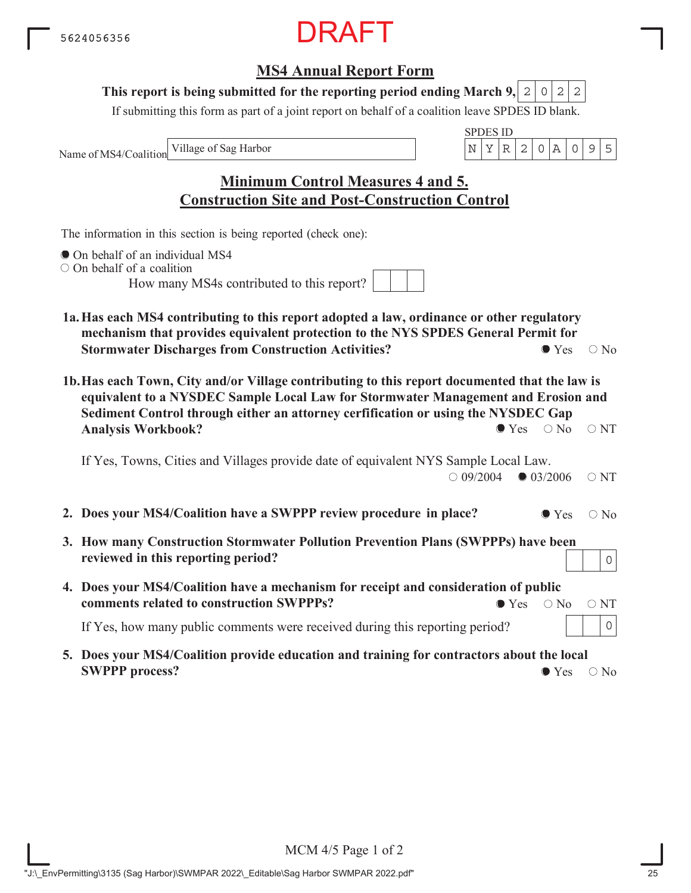### **MS4 Annual Report Form**

#### This report is being submitted for the reporting period ending March 9,  $|2|0|2|2$

If submitting this form as part of a joint report on behalf of a coalition leave SPDES ID blank.

Name of MS4/Coalition

SPDES ID Village of Sag Harbor  $\vert N \vert Y \vert R \vert 2 \vert 0 \vert A \vert 0 \vert 9 \vert 5$ 

## **Minimum Control Measures 4 and 5. Construction Site and Post-Construction Control**

The information in this section is being reported (check one):

- On behalf of an individual MS4
- On behalf of a coalition

How many MS4s contributed to this report?

- **1a.Has each MS4 contributing to this report adopted a law, ordinance or other regulatory mechanism that provides equivalent protection to the NYS SPDES General Permit for Stormwater Discharges from Construction Activities?**  $\bullet$  Yes  $\circ$  No
- **1b.Has each Town, City and/or Village contributing to this report documented that the law is equivalent to a NYSDEC Sample Local Law for Stormwater Management and Erosion and Sediment Control through either an attorney cerfification or using the NYSDEC Gap Analysis Workbook?**  $\bullet$  Yes  $\circ$  No  $\circ$  NT

If Yes, Towns, Cities and Villages provide date of equivalent NYS Sample Local Law.  $\bigcirc$  09/2004  $\bigcirc$  03/2006  $\bigcirc$  NT

- **2. Does your MS4/Coalition have a SWPPP review procedure in place?**  $\bullet$  Yes  $\circ$  No
- **3. How many Construction Stormwater Pollution Prevention Plans (SWPPPs) have been reviewed in this reporting period?**
- **4. Does your MS4/Coalition have a mechanism for receipt and consideration of public comments related to construction SWPPPs?**  $\bullet$  Yes  $\circ$  No  $\circ$  NT

If Yes, how many public comments were received during this reporting period?

**5. Does your MS4/Coalition provide education and training for contractors about the local SWPPP process?**  $\bullet$  Yes  $\circ$  No

0

0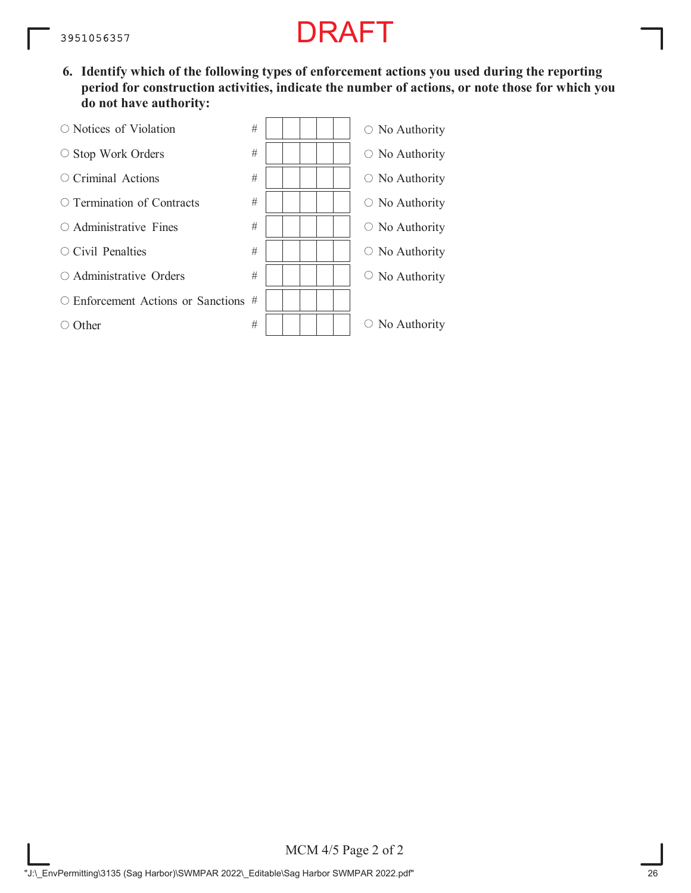**6. Identify which of the following types of enforcement actions you used during the reporting period for construction activities, indicate the number of actions, or note those for which you do not have authority:**

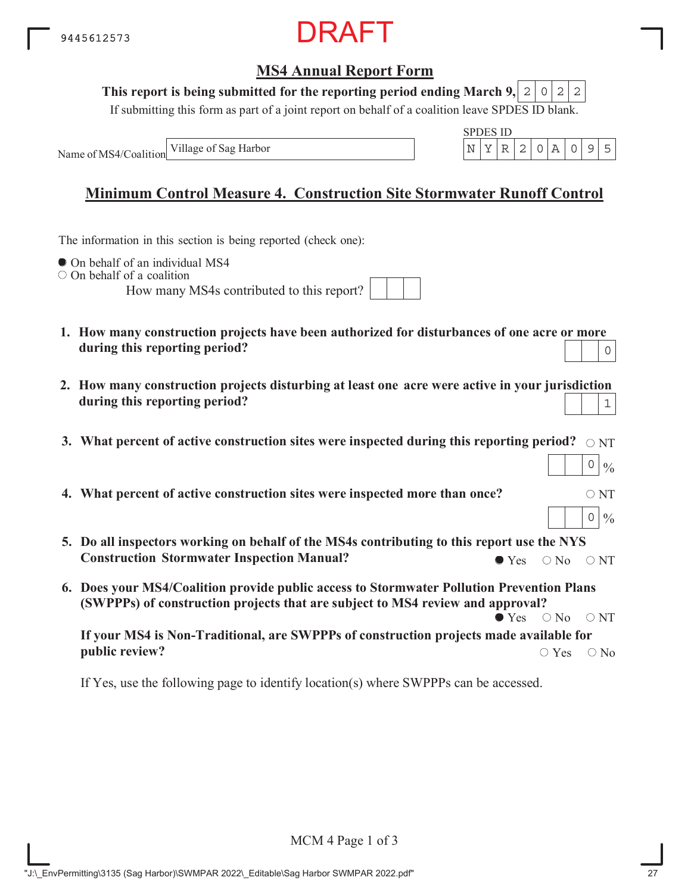

#### This report is being submitted for the reporting period ending March 9,  $|2|0|2|2$

If submitting this form as part of a joint report on behalf of a coalition leave SPDES ID blank.

Name of MS4/Coalition

SPDES ID Village of Sag Harbor  $\vert N \vert Y \vert R \vert 2 \vert 0 \vert A \vert 0 \vert 9 \vert 5$ 

 $0 | 0/6$ 

 $0 | 0/6$ 

## **Minimum Control Measure 4. Construction Site Stormwater Runoff Control**

The information in this section is being reported (check one):

 $\bullet$  On behalf of an individual MS4

 $\circ$  On behalf of a coalition

How many MS4s contributed to this report?

| MS4s contributed to this report? |  |  |  |  |
|----------------------------------|--|--|--|--|
|                                  |  |  |  |  |

- **1. How many construction projects have been authorized for disturbances of one acre or more during this reporting period?** 0
- **2. How many construction projects disturbing at least one acre were active in your jurisdiction during this reporting period?** 1
- 3. What percent of active construction sites were inspected during this reporting period?  $\,\circ$   $_{\rm NT}$
- **4. What percent of active construction sites were inspected more than once?**  $\circ$  NT
- **5. Do all inspectors working on behalf of the MS4s contributing to this report use the NYS Construction Stormwater Inspection Manual?**  $\bullet$  Yes  $\circ$  No  $\circ$  NT
- **6. Does your MS4/Coalition provide public access to Stormwater Pollution Prevention Plans (SWPPPs) of construction projects that are subject to MS4 review and approval?**  $\bullet$  Yes  $\circ$  No  $\circ$  NT

**If your MS4 is Non-Traditional, are SWPPPs of construction projects made available for public review?**  $\circ$  Yes  $\circ$  No

If Yes, use the following page to identify location(s) where SWPPPs can be accessed.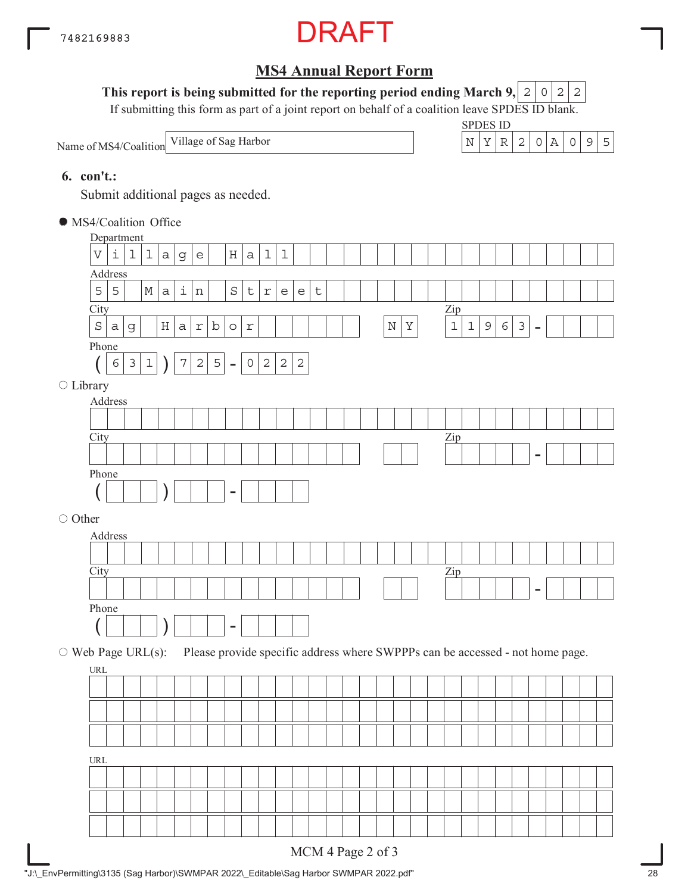

#### This report is being submitted for the reporting period ending March 9,  $|2|0|2|2$

If submitting this form as part of a joint report on behalf of a coalition leave SPDES ID blank.

Name of MS4/Coalition



#### **6. con't.:**

Submit additional pages as needed.

| • MS4/Coalition Office   |                           |                     |                |             |             |                    |                                   |                |                              |                |             |                                   |                                   |         |  |             |         |  |                |             |             |            |               |                          |                                                                               |  |
|--------------------------|---------------------------|---------------------|----------------|-------------|-------------|--------------------|-----------------------------------|----------------|------------------------------|----------------|-------------|-----------------------------------|-----------------------------------|---------|--|-------------|---------|--|----------------|-------------|-------------|------------|---------------|--------------------------|-------------------------------------------------------------------------------|--|
|                          |                           | Department          |                |             |             |                    |                                   |                |                              |                |             |                                   |                                   |         |  |             |         |  |                |             |             |            |               |                          |                                                                               |  |
|                          | $\boldsymbol{\mathrm{V}}$ | $\dot{\mathbbm{1}}$ | $\mathbf 1$    | $\mathbf 1$ | $\mathsf a$ | g                  | $\mathsf{e}% _{t}\left( t\right)$ |                | $\rm H$                      | $\mathsf a$    | $\mathbf 1$ | $\mathbf 1$                       |                                   |         |  |             |         |  |                |             |             |            |               |                          |                                                                               |  |
|                          |                           | Address             |                |             |             |                    |                                   |                |                              |                |             |                                   |                                   |         |  |             |         |  |                |             |             |            |               |                          |                                                                               |  |
|                          | 5                         | 5                   |                | $M \mid$    | $\rm{a}$    | $\dot{\mathtt{l}}$ | $\, {\rm n}$                      |                | $\rm S$                      | $\sf t$        | $\Upsilon$  | $\mathsf{e}% _{t}\left( t\right)$ | $\mathsf{e}% _{t}\left( t\right)$ | $\sf t$ |  |             |         |  |                |             |             |            |               |                          |                                                                               |  |
|                          | City                      |                     |                |             |             |                    |                                   |                |                              |                |             |                                   |                                   |         |  |             |         |  | $\mathbf{Zip}$ |             |             |            |               |                          |                                                                               |  |
|                          | $\rm S$                   | $\mbox{\tt a}$      | g              |             | Η           | $\mathsf a$        | $r \mid$                          | $\mathbf b$    | $\circ$                      | $\mathfrak{L}$ |             |                                   |                                   |         |  | $\mathbb N$ | $\rm Y$ |  | $\mathbf 1$    | $\mathbf 1$ | $\mathsf 9$ | $\epsilon$ | $\mathcal{E}$ | $\overline{\phantom{a}}$ |                                                                               |  |
|                          | Phone                     |                     |                |             |             |                    |                                   |                |                              |                |             |                                   |                                   |         |  |             |         |  |                |             |             |            |               |                          |                                                                               |  |
|                          |                           | $\epsilon$          | $\mathfrak{Z}$ | $\mathbf 1$ |             | $\boldsymbol{7}$   | $\sqrt{2}$                        | $\overline{5}$ | $\qquad \qquad \blacksquare$ | $\mathsf{O}$   | $\sqrt{2}$  | $\sqrt{2}$                        | $\sqrt{2}$                        |         |  |             |         |  |                |             |             |            |               |                          |                                                                               |  |
| $\bigcirc$ Library       |                           |                     |                |             |             |                    |                                   |                |                              |                |             |                                   |                                   |         |  |             |         |  |                |             |             |            |               |                          |                                                                               |  |
|                          |                           | Address             |                |             |             |                    |                                   |                |                              |                |             |                                   |                                   |         |  |             |         |  |                |             |             |            |               |                          |                                                                               |  |
|                          |                           |                     |                |             |             |                    |                                   |                |                              |                |             |                                   |                                   |         |  |             |         |  |                |             |             |            |               |                          |                                                                               |  |
|                          | City                      |                     |                |             |             |                    |                                   |                |                              |                |             |                                   |                                   |         |  |             |         |  | $\mathbf{Zip}$ |             |             |            |               |                          |                                                                               |  |
|                          |                           |                     |                |             |             |                    |                                   |                |                              |                |             |                                   |                                   |         |  |             |         |  |                |             |             |            |               |                          |                                                                               |  |
|                          | Phone                     |                     |                |             |             |                    |                                   |                |                              |                |             |                                   |                                   |         |  |             |         |  |                |             |             |            |               |                          |                                                                               |  |
|                          |                           |                     |                |             |             |                    |                                   |                | -                            |                |             |                                   |                                   |         |  |             |         |  |                |             |             |            |               |                          |                                                                               |  |
| ○ Other                  |                           |                     |                |             |             |                    |                                   |                |                              |                |             |                                   |                                   |         |  |             |         |  |                |             |             |            |               |                          |                                                                               |  |
|                          |                           | Address             |                |             |             |                    |                                   |                |                              |                |             |                                   |                                   |         |  |             |         |  |                |             |             |            |               |                          |                                                                               |  |
|                          |                           |                     |                |             |             |                    |                                   |                |                              |                |             |                                   |                                   |         |  |             |         |  |                |             |             |            |               |                          |                                                                               |  |
|                          | City                      |                     |                |             |             |                    |                                   |                |                              |                |             |                                   |                                   |         |  |             |         |  | $\mathbf{Zip}$ |             |             |            |               |                          |                                                                               |  |
|                          |                           |                     |                |             |             |                    |                                   |                |                              |                |             |                                   |                                   |         |  |             |         |  |                |             |             |            |               |                          |                                                                               |  |
|                          | Phone                     |                     |                |             |             |                    |                                   |                |                              |                |             |                                   |                                   |         |  |             |         |  |                |             |             |            |               |                          |                                                                               |  |
|                          |                           |                     |                |             |             |                    |                                   |                | $\overline{\phantom{0}}$     |                |             |                                   |                                   |         |  |             |         |  |                |             |             |            |               |                          |                                                                               |  |
|                          |                           |                     |                |             |             |                    |                                   |                |                              |                |             |                                   |                                   |         |  |             |         |  |                |             |             |            |               |                          |                                                                               |  |
| $\circ$ Web Page URL(s): | URL                       |                     |                |             |             |                    |                                   |                |                              |                |             |                                   |                                   |         |  |             |         |  |                |             |             |            |               |                          | Please provide specific address where SWPPPs can be accessed - not home page. |  |
|                          |                           |                     |                |             |             |                    |                                   |                |                              |                |             |                                   |                                   |         |  |             |         |  |                |             |             |            |               |                          |                                                                               |  |
|                          |                           |                     |                |             |             |                    |                                   |                |                              |                |             |                                   |                                   |         |  |             |         |  |                |             |             |            |               |                          |                                                                               |  |
|                          |                           |                     |                |             |             |                    |                                   |                |                              |                |             |                                   |                                   |         |  |             |         |  |                |             |             |            |               |                          |                                                                               |  |
|                          |                           |                     |                |             |             |                    |                                   |                |                              |                |             |                                   |                                   |         |  |             |         |  |                |             |             |            |               |                          |                                                                               |  |
|                          | URL                       |                     |                |             |             |                    |                                   |                |                              |                |             |                                   |                                   |         |  |             |         |  |                |             |             |            |               |                          |                                                                               |  |
|                          |                           |                     |                |             |             |                    |                                   |                |                              |                |             |                                   |                                   |         |  |             |         |  |                |             |             |            |               |                          |                                                                               |  |
|                          |                           |                     |                |             |             |                    |                                   |                |                              |                |             |                                   |                                   |         |  |             |         |  |                |             |             |            |               |                          |                                                                               |  |
|                          |                           |                     |                |             |             |                    |                                   |                |                              |                |             |                                   |                                   |         |  |             |         |  |                |             |             |            |               |                          |                                                                               |  |
|                          |                           |                     |                |             |             |                    |                                   |                |                              |                |             |                                   |                                   |         |  |             |         |  |                |             |             |            |               |                          |                                                                               |  |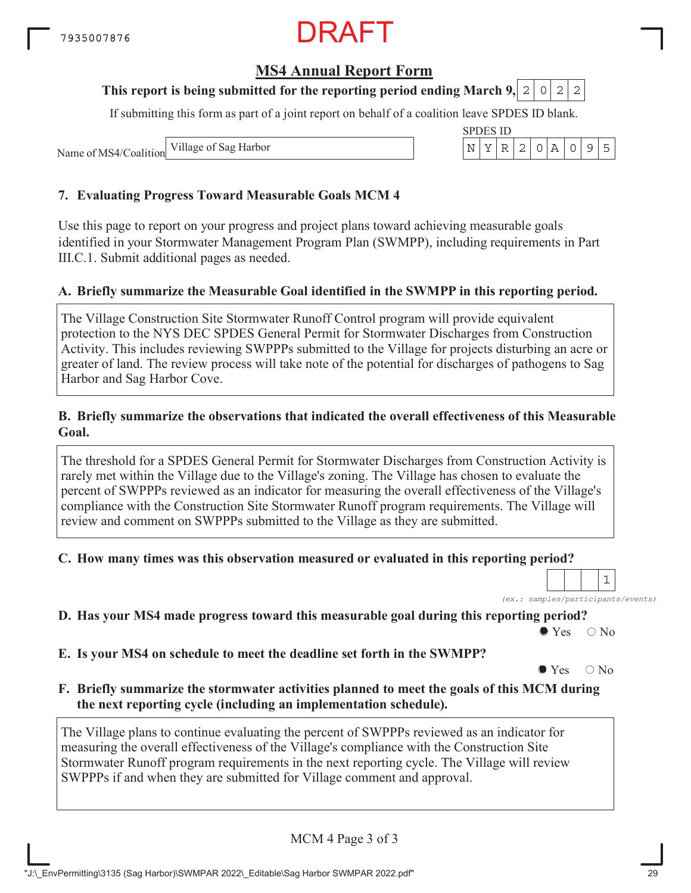### **MS4 Annual Report Form**

#### **This report is being submitted for the reporting period ending March 9, 2 0 2 2**

If submitting this form as part of a joint report on behalf of a coalition leave SPDES ID blank.

Name of MS4/Coalition Village of Sag Harbor

#### **7. Evaluating Progress Toward Measurable Goals MCM 4**

Use this page to report on your progress and project plans toward achieving measurable goals identified in your Stormwater Management Program Plan (SWMPP), including requirements in Part III.C.1. Submit additional pages as needed.

#### **A. Briefly summarize the Measurable Goal identified in the SWMPP in this reporting period.**

The Village Construction Site Stormwater Runoff Control program will provide equivalent protection to the NYS DEC SPDES General Permit for Stormwater Discharges from Construction Activity. This includes reviewing SWPPPs submitted to the Village for projects disturbing an acre or greater of land. The review process will take note of the potential for discharges of pathogens to Sag Harbor and Sag Harbor Cove.

#### **B. Briefly summarize the observations that indicated the overall effectiveness of this Measurable Goal.**

The threshold for a SPDES General Permit for Stormwater Discharges from Construction Activity is rarely met within the Village due to the Village's zoning. The Village has chosen to evaluate the percent of SWPPPs reviewed as an indicator for measuring the overall effectiveness of the Village's compliance with the Construction Site Stormwater Runoff program requirements. The Village will review and comment on SWPPPs submitted to the Village as they are submitted.

#### **C. How many times was this observation measured or evaluated in this reporting period?**

*(ex.: samples/participants/events)* 1

**D. Has your MS4 made progress toward this measurable goal during this reporting period?**

 $\bullet$  Yes  $\circ$  No

**E. Is your MS4 on schedule to meet the deadline set forth in the SWMPP?**

 $\bullet$  Yes  $\circ$  No

**F. Briefly summarize the stormwater activities planned to meet the goals of this MCM during the next reporting cycle (including an implementation schedule).**

The Village plans to continue evaluating the percent of SWPPPs reviewed as an indicator for measuring the overall effectiveness of the Village's compliance with the Construction Site Stormwater Runoff program requirements in the next reporting cycle. The Village will review SWPPPs if and when they are submitted for Village comment and approval.

MCM 4 Page 3 of 3

| SPDES ID |  |  |  |  |
|----------|--|--|--|--|
|          |  |  |  |  |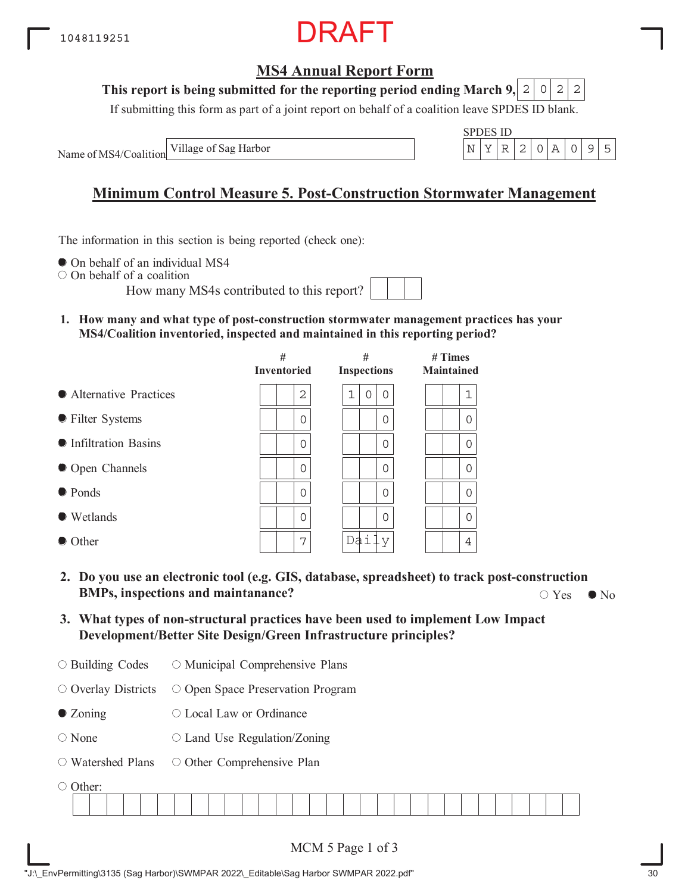### **MS4 Annual Report Form**

#### **This report is being submitted for the reporting period ending March 9,**  $2|0|2|2$

If submitting this form as part of a joint report on behalf of a coalition leave SPDES ID blank.

Name of MS4/Coalition Village of Sag Harbor

| PU | ш<br>÷ |  |  |  |
|----|--------|--|--|--|
|    |        |  |  |  |

## **Minimum Control Measure 5. Post-Construction Stormwater Management**

The information in this section is being reported (check one):

 $\bullet$  On behalf of an individual MS4

On behalf of a coalition

How many MS4s contributed to this report?

**1. How many and what type of post-construction stormwater management practices has your MS4/Coalition inventoried, inspected and maintained in this reporting period?**

|                         | #<br><b>Inventoried</b> | #<br><b>Inspections</b> | $#$ Times<br><b>Maintained</b> |
|-------------------------|-------------------------|-------------------------|--------------------------------|
| • Alternative Practices | 2                       | 1<br>0<br>0             | 1                              |
| • Filter Systems        | 0                       | 0                       | 0                              |
| • Infiltration Basins   | $\Omega$                | 0                       | $\Omega$                       |
| • Open Channels         | $\Omega$                | $\Omega$                | $\Omega$                       |
| • Ponds                 | $\Omega$                | 0                       | ∩                              |
| • Wetlands              | $\Omega$                | 0                       | $\Omega$                       |
| • Other                 | 7                       | Da j                    | 4                              |

- **2. Do you use an electronic tool (e.g. GIS, database, spreadsheet) to track post-construction BMPs, inspections and maintanance?**  $\bigcirc$  Yes  $\bigcirc$  No  $\bigcirc$  Yes  $\bigcirc$  No
- **3. What types of non-structural practices have been used to implement Low Impact Development/Better Site Design/Green Infrastructure principles?**
- Building Codes O Municipal Comprehensive Plans

 $\circ$  Overlay Districts O Open Space Preservation Program

- Zoning Local Law or Ordinance
- None  $\circ$  Land Use Regulation/Zoning
- Watershed Plans O Other Comprehensive Plan

O Other:

| -------- |  |  |  |  |  |  |  |  |  |  |  |  |  |  |  |
|----------|--|--|--|--|--|--|--|--|--|--|--|--|--|--|--|
|          |  |  |  |  |  |  |  |  |  |  |  |  |  |  |  |
|          |  |  |  |  |  |  |  |  |  |  |  |  |  |  |  |
|          |  |  |  |  |  |  |  |  |  |  |  |  |  |  |  |
|          |  |  |  |  |  |  |  |  |  |  |  |  |  |  |  |
|          |  |  |  |  |  |  |  |  |  |  |  |  |  |  |  |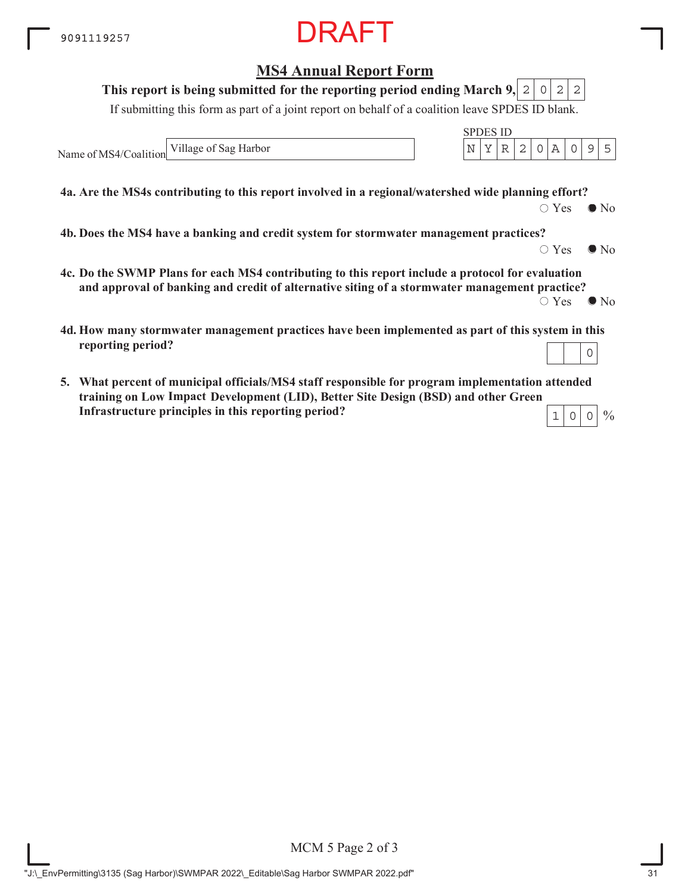### **MS4 Annual Report Form**

#### **This report is being submitted for the reporting period ending March 9,**  $2|0|2|2$

If submitting this form as part of a joint report on behalf of a coalition leave SPDES ID blank.

Name of MS4/Coalition Village of Sag Harbor  $\vert N \vert Y \vert R \vert 2 \vert 0 \vert A \vert 0 \vert 9 \vert 5$ 

**4a. Are the MS4s contributing to this report involved in a regional/watershed wide planning effort?**

 $\bigcirc$  Yes  $\bigcirc$  No

SPDES ID

**4b. Does the MS4 have a banking and credit system for stormwater management practices?**

 $\circ$  Yes  $\bullet$  No

 $\frac{0}{0}$ 

- **4c. Do the SWMP Plans for each MS4 contributing to this report include a protocol for evaluation and approval of banking and credit of alternative siting of a stormwater management practice?**  $\circ$  Yes  $\bullet$  No
- **4d. How many stormwater management practices have been implemented as part of this system in this reporting period?** 0
- **5. What percent of municipal officials/MS4 staff responsible for program implementation attended training on Low Impace Development (LID), Better Site Design (BSD) and other Green ImpactInfrastructure principles in this reporting period?**  $1|0|0$

MCM 5 Page 2 of 3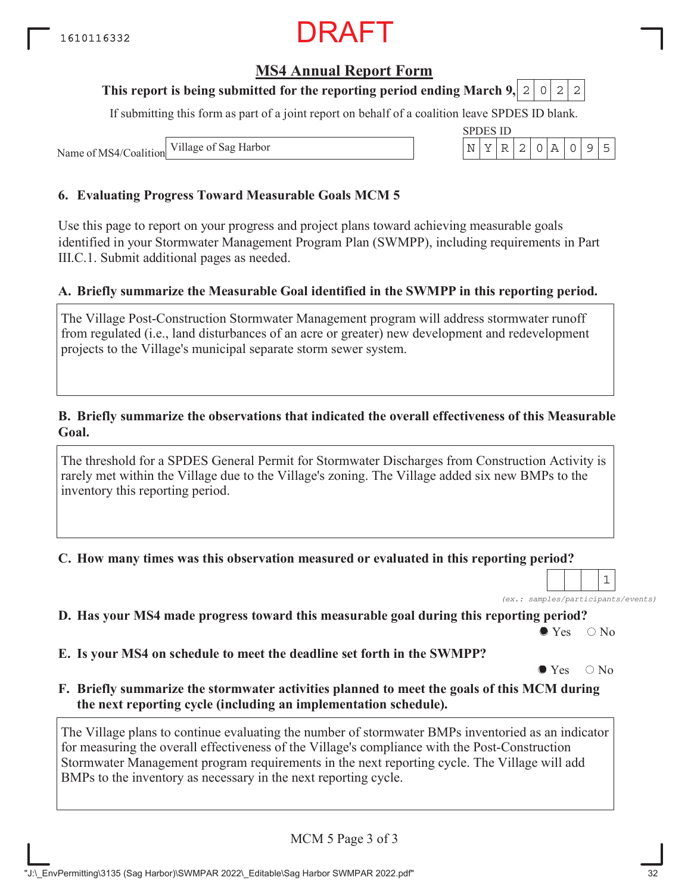## RAFT

#### **MS4 Annual Report Form**

#### **This report is being submitted for the reporting period ending March 9, 2 0 2 2**

If submitting this form as part of a joint report on behalf of a coalition leave SPDES ID blank.

SPDES ID

Name of MS4/Coalition Village of Sag Harbor  $\vert N \vert Y \vert R \vert 2 \vert 0 \vert A \vert 0 \vert 9 \vert 5$ 

#### **6. Evaluating Progress Toward Measurable Goals MCM 5**

Use this page to report on your progress and project plans toward achieving measurable goals identified in your Stormwater Management Program Plan (SWMPP), including requirements in Part III.C.1. Submit additional pages as needed.

#### **A. Briefly summarize the Measurable Goal identified in the SWMPP in this reporting period.**

The Village Post-Construction Stormwater Management program will address stormwater runoff from regulated (i.e., land disturbances of an acre or greater) new development and redevelopment projects to the Village's municipal separate storm sewer system.

#### **B. Briefly summarize the observations that indicated the overall effectiveness of this Measurable Goal.**

The threshold for a SPDES General Permit for Stormwater Discharges from Construction Activity is rarely met within the Village due to the Village's zoning. The Village added six new BMPs to the inventory this reporting period.

**C. How many times was this observation measured or evaluated in this reporting period?**

*(ex.: samples/participants/events)* 1

**D. Has your MS4 made progress toward this measurable goal during this reporting period?**

 $\bullet$  Yes  $\circ$  No

**E. Is your MS4 on schedule to meet the deadline set forth in the SWMPP?**

 $\bullet$  Yes  $\circ$  No

**F. Briefly summarize the stormwater activities planned to meet the goals of this MCM during the next reporting cycle (including an implementation schedule).**

The Village plans to continue evaluating the number of stormwater BMPs inventoried as an indicator for measuring the overall effectiveness of the Village's compliance with the Post-Construction Stormwater Management program requirements in the next reporting cycle. The Village will add BMPs to the inventory as necessary in the next reporting cycle.

MCM 5 Page 3 of 3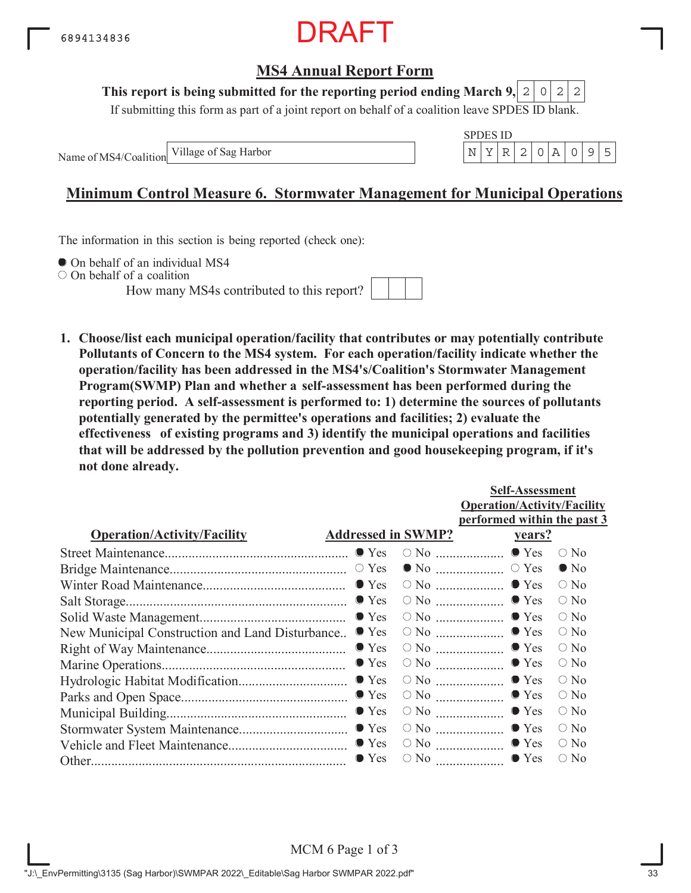

#### **This report is being submitted for the reporting period ending March 9,**  $2|0|2|2$

If submitting this form as part of a joint report on behalf of a coalition leave SPDES ID blank.

Name of MS4/Coalition



### **Minimum Control Measure 6. Stormwater Management for Municipal Operations**

The information in this section is being reported (check one):

 $\bullet$  On behalf of an individual MS4

On behalf of a coalition

How many MS4s contributed to this report?



**1. Choose/list each municipal operation/facility that contributes or may potentially contribute Pollutants of Concern to the MS4 system. For each operation/facility indicate whether the operation/facility has been addressed in the MS4's/Coalition's Stormwater Management Program(SWMP) Plan and whether a self-assessment has been performed during the reporting period. A self-assessment is performed to: 1) determine the sources of pollutants potentially generated by the permittee's operations and facilities; 2) evaluate the effectiveness of existing programs and 3) identify the municipal operations and facilities that will be addressed by the pollution prevention and good housekeeping program, if it's not done already.**

|                                                 |                           |                                                | <b>Self-Assessment</b>             |               |
|-------------------------------------------------|---------------------------|------------------------------------------------|------------------------------------|---------------|
|                                                 |                           |                                                | <b>Operation/Activity/Facility</b> |               |
|                                                 |                           |                                                | performed within the past 3        |               |
| <b>Operation/Activity/Facility</b>              | <b>Addressed in SWMP?</b> |                                                | <u>vears?</u>                      |               |
|                                                 |                           |                                                |                                    | $\bigcirc$ No |
|                                                 |                           |                                                |                                    | $\bullet$ No  |
|                                                 |                           |                                                |                                    | $\circ$ No    |
|                                                 |                           |                                                |                                    | $\bigcirc$ No |
|                                                 |                           |                                                |                                    | $\bigcirc$ No |
| New Municipal Construction and Land Disturbance | $\bullet$ Yes             |                                                | $\circ$ No $\ldots$ $\bullet$ Yes  | $\circ$ No    |
|                                                 | $\bullet$ Yes             |                                                | $\circ$ No $\ldots$ $\bullet$ Yes  | $\circ$ No    |
|                                                 | $\bullet$ Yes             | $\circ$ No $\ldots$ $\ldots$ $\ldots$ $\ldots$ | $\bullet$ Yes                      | $\circ$ No    |
|                                                 |                           |                                                | $\bullet$ Yes                      | $\bigcirc$ No |
|                                                 |                           | $\circ$ No $\ldots$ $\ldots$ $\ldots$ $\ldots$ | $\bullet$ Yes                      | $\bigcirc$ No |
|                                                 | $\bullet$ Yes             |                                                | $\bullet$ Yes                      | $\circ$ No    |
|                                                 |                           | $\circ$ No $\ldots$                            | $\bullet$ Yes                      | $\bigcirc$ No |
|                                                 |                           |                                                | $\circ$ No $\ldots$ $\bullet$ Yes  | $\circ$ No    |
|                                                 | $\bullet$ Yes             | $\circ$ No $\ldots$                            | $\bullet$ Yes                      | $\bigcirc$ No |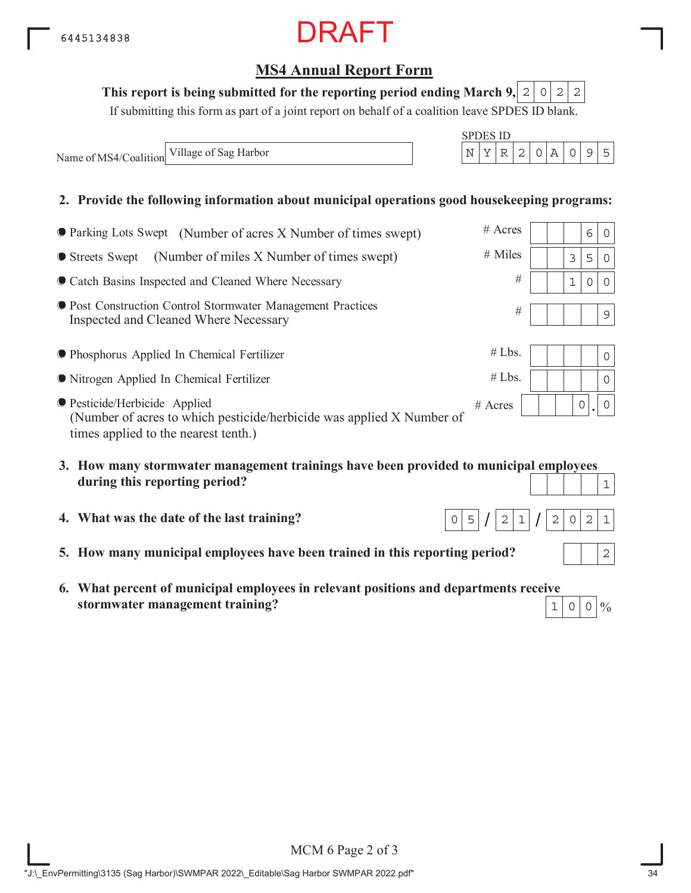RAFT

### This report is being submitted for the reporting period ending March 9,  $\mid 2 \mid 0 \mid 2 \mid 2$

If submitting this form as part of a joint report on behalf of a coalition leave SPDES ID blank.

Name of MS4/Coalition Village of Sag Harbor  $N = \begin{bmatrix} N & Y & R & 2 & 0 & A & 0 & 9 & 5 \end{bmatrix}$ 

#### **2. Provide the following information about municipal operations good housekeeping programs:**

| ● Parking Lots Swept (Number of acres X Number of times swept)                                                                                 | $#$ Acres |  |   | 6 | $\Omega$    |
|------------------------------------------------------------------------------------------------------------------------------------------------|-----------|--|---|---|-------------|
| • Streets Swept (Number of miles X Number of times swept)                                                                                      | $#$ Miles |  | 3 | 5 | $\Omega$    |
| • Catch Basins Inspected and Cleaned Where Necessary                                                                                           | #         |  |   | 0 | $\Omega$    |
| ● Post Construction Control Stormwater Management Practices<br>Inspected and Cleaned Where Necessary                                           | #         |  |   |   | $\mathsf 9$ |
| ● Phosphorus Applied In Chemical Fertilizer                                                                                                    | #Lbs.     |  |   |   | $\Omega$    |
| • Nitrogen Applied In Chemical Fertilizer                                                                                                      | #Lbs.     |  |   |   | $\Omega$    |
| ● Pesticide/Herbicide Applied<br>(Number of acres to which pesticide/herbicide was applied X Number of<br>times applied to the nearest tenth.) | $#$ Acres |  |   | 0 | 0           |
| 3. How many stormwater management trainings have been provided to municipal employees                                                          |           |  |   |   |             |
| during this reporting period?                                                                                                                  |           |  |   |   | $\mathbf 1$ |

- **4. What was the date of the last training?**
- **5. How many municipal employees have been trained in this reporting period?**
- **6. What percent of municipal employees in relevant positions and departments receive stormwater management training?**  $1|0|0|\%$



 $\top$ 

 $\top$ П ┯ ┱ # Acres

 $2|1$ 

 $0|5|/|2|1|/|2|0|2|1$ 

2